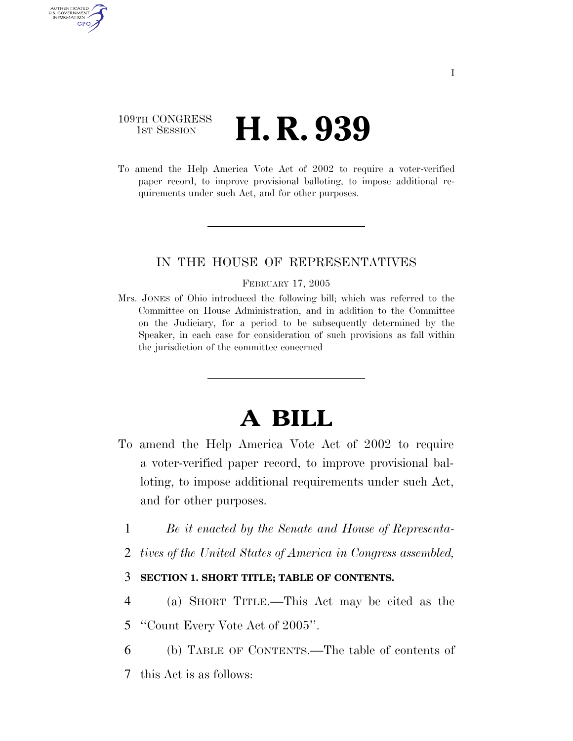### 109TH CONGRESS **HE CONGRESS H. R. 939**

AUTHENTICATED U.S. GOVERNMENT GPO

> To amend the Help America Vote Act of 2002 to require a voter-verified paper record, to improve provisional balloting, to impose additional requirements under such Act, and for other purposes.

### IN THE HOUSE OF REPRESENTATIVES

#### FEBRUARY 17, 2005

Mrs. JONES of Ohio introduced the following bill; which was referred to the Committee on House Administration, and in addition to the Committee on the Judiciary, for a period to be subsequently determined by the Speaker, in each case for consideration of such provisions as fall within the jurisdiction of the committee concerned

# **A BILL**

- To amend the Help America Vote Act of 2002 to require a voter-verified paper record, to improve provisional balloting, to impose additional requirements under such Act, and for other purposes.
	- 1 *Be it enacted by the Senate and House of Representa-*
	- 2 *tives of the United States of America in Congress assembled,*

### 3 **SECTION 1. SHORT TITLE; TABLE OF CONTENTS.**

- 4 (a) SHORT TITLE.—This Act may be cited as the 5 ''Count Every Vote Act of 2005''.
- 6 (b) TABLE OF CONTENTS.—The table of contents of
- 7 this Act is as follows: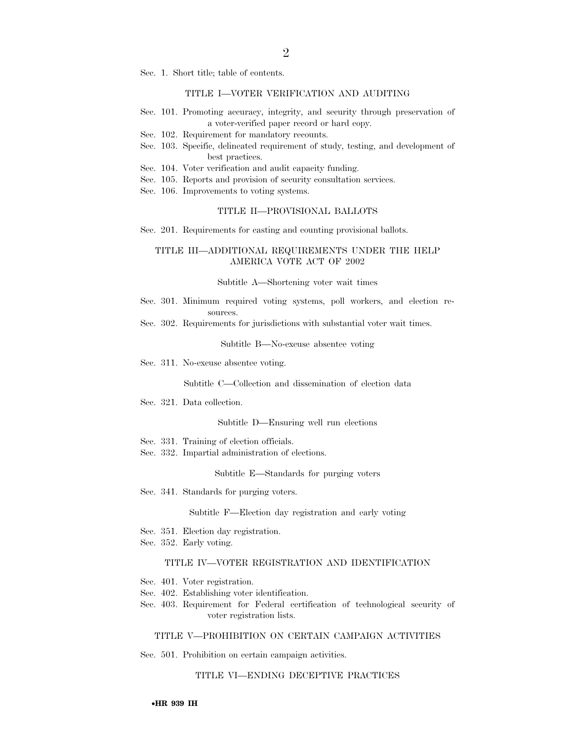Sec. 1. Short title; table of contents.

#### TITLE I—VOTER VERIFICATION AND AUDITING

- Sec. 101. Promoting accuracy, integrity, and security through preservation of a voter-verified paper record or hard copy.
- Sec. 102. Requirement for mandatory recounts.
- Sec. 103. Specific, delineated requirement of study, testing, and development of best practices.
- Sec. 104. Voter verification and audit capacity funding.
- Sec. 105. Reports and provision of security consultation services.
- Sec. 106. Improvements to voting systems.

#### TITLE II—PROVISIONAL BALLOTS

Sec. 201. Requirements for casting and counting provisional ballots.

#### TITLE III—ADDITIONAL REQUIREMENTS UNDER THE HELP AMERICA VOTE ACT OF 2002

#### Subtitle A—Shortening voter wait times

- Sec. 301. Minimum required voting systems, poll workers, and election resources.
- Sec. 302. Requirements for jurisdictions with substantial voter wait times.

#### Subtitle B—No-excuse absentee voting

Sec. 311. No-excuse absentee voting.

Subtitle C—Collection and dissemination of election data

Sec. 321. Data collection.

#### Subtitle D—Ensuring well run elections

- Sec. 331. Training of election officials.
- Sec. 332. Impartial administration of elections.

#### Subtitle E—Standards for purging voters

Sec. 341. Standards for purging voters.

Subtitle F—Election day registration and early voting

- Sec. 351. Election day registration.
- Sec. 352. Early voting.

#### TITLE IV—VOTER REGISTRATION AND IDENTIFICATION

- Sec. 401. Voter registration.
- Sec. 402. Establishing voter identification.
- Sec. 403. Requirement for Federal certification of technological security of voter registration lists.

#### TITLE V—PROHIBITION ON CERTAIN CAMPAIGN ACTIVITIES

Sec. 501. Prohibition on certain campaign activities.

#### TITLE VI—ENDING DECEPTIVE PRACTICES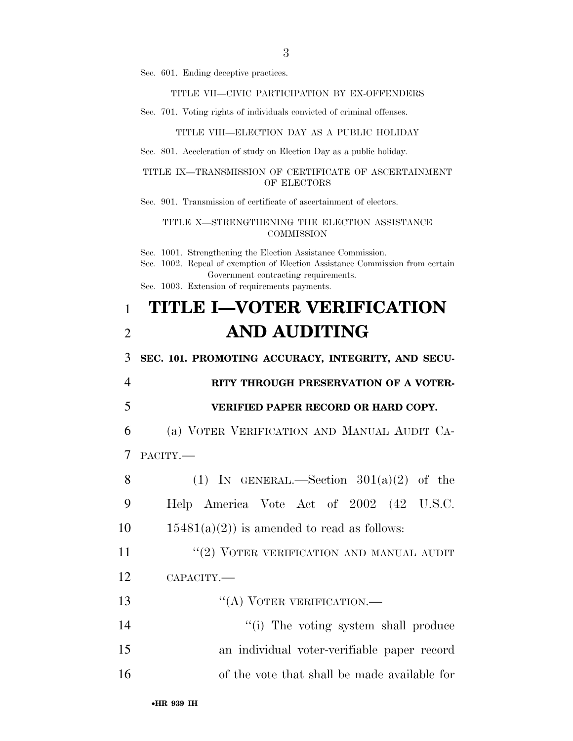Sec. 601. Ending deceptive practices.

#### TITLE VII—CIVIC PARTICIPATION BY EX-OFFENDERS

Sec. 701. Voting rights of individuals convicted of criminal offenses.

#### TITLE VIII—ELECTION DAY AS A PUBLIC HOLIDAY

Sec. 801. Acceleration of study on Election Day as a public holiday.

#### TITLE IX—TRANSMISSION OF CERTIFICATE OF ASCERTAINMENT OF ELECTORS

Sec. 901. Transmission of certificate of ascertainment of electors.

#### TITLE X—STRENGTHENING THE ELECTION ASSISTANCE **COMMISSION**

Sec. 1001. Strengthening the Election Assistance Commission.

Sec. 1002. Repeal of exemption of Election Assistance Commission from certain Government contracting requirements.

Sec. 1003. Extension of requirements payments.

## 1 **TITLE I—VOTER VERIFICATION**  2 **AND AUDITING**

3 **SEC. 101. PROMOTING ACCURACY, INTEGRITY, AND SECU-**

## 4 **RITY THROUGH PRESERVATION OF A VOTER-**

### 5 **VERIFIED PAPER RECORD OR HARD COPY.**

6 (a) VOTER VERIFICATION AND MANUAL AUDIT CA-7 PACITY.—

8 (1) IN GENERAL.—Section  $301(a)(2)$  of the 9 Help America Vote Act of 2002 (42 U.S.C. 10  $15481(a)(2)$  is amended to read as follows: 11 "(2) VOTER VERIFICATION AND MANUAL AUDIT 12 CAPACITY.—

13 "(A) VOTER VERIFICATION.—

14 ''(i) The voting system shall produce 15 an individual voter-verifiable paper record 16 of the vote that shall be made available for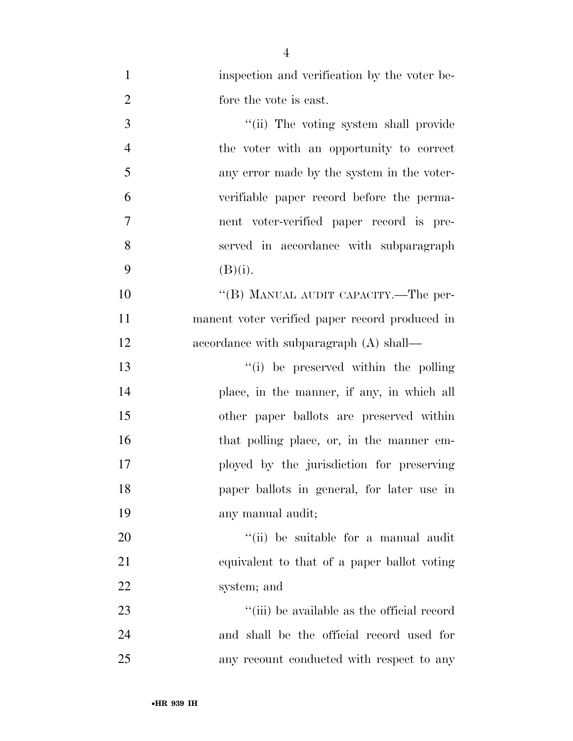| $\mathbf{1}$     | inspection and verification by the voter be-   |
|------------------|------------------------------------------------|
| $\overline{2}$   | fore the vote is east.                         |
| 3                | "(ii) The voting system shall provide          |
| $\overline{4}$   | the voter with an opportunity to correct       |
| 5                | any error made by the system in the voter-     |
| 6                | verifiable paper record before the perma-      |
| $\boldsymbol{7}$ | nent voter-verified paper record is pre-       |
| 8                | served in accordance with subparagraph         |
| 9                | (B)(i).                                        |
| 10               | "(B) MANUAL AUDIT CAPACITY.—The per-           |
| 11               | manent voter verified paper record produced in |
| 12               | accordance with subparagraph (A) shall—        |
| 13               | "(i) be preserved within the polling"          |
| 14               | place, in the manner, if any, in which all     |
| 15               | other paper ballots are preserved within       |
| 16               | that polling place, or, in the manner em-      |
| 17               | ployed by the jurisdiction for preserving      |
| 18               | paper ballots in general, for later use in     |
| 19               | any manual audit;                              |
| 20               | "(ii) be suitable for a manual audit           |
| 21               | equivalent to that of a paper ballot voting    |
| 22               | system; and                                    |
| 23               | "(iii) be available as the official record     |
| 24               | and shall be the official record used for      |
| 25               | any recount conducted with respect to any      |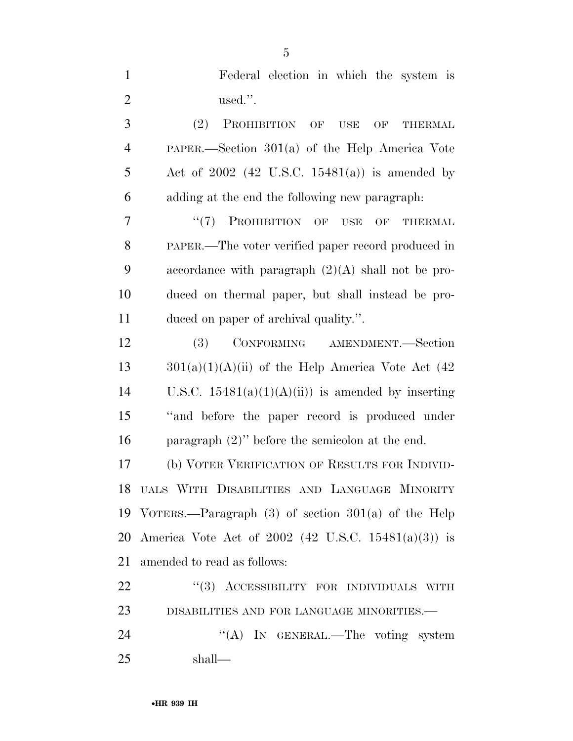| $\mathbf{1}$   | Federal election in which the system is                 |
|----------------|---------------------------------------------------------|
| $\overline{2}$ | used.".                                                 |
| 3              | (2)<br>PROHIBITION OF<br><b>USE</b><br>OF<br>THERMAL    |
| $\overline{4}$ | PAPER.—Section 301(a) of the Help America Vote          |
| 5              | Act of $2002$ (42 U.S.C. 15481(a)) is amended by        |
| 6              | adding at the end the following new paragraph:          |
| 7              | $``(7)$ PROHIBITION OF USE<br>OF<br><b>THERMAL</b>      |
| 8              | PAPER.—The voter verified paper record produced in      |
| 9              | accordance with paragraph $(2)(A)$ shall not be pro-    |
| 10             | duced on thermal paper, but shall instead be pro-       |
| 11             | duced on paper of archival quality.".                   |
| 12             | CONFORMING AMENDMENT.-Section<br><b>(3)</b>             |
| 13             | $301(a)(1)(A)(ii)$ of the Help America Vote Act (42)    |
| 14             | U.S.C. $15481(a)(1)(A)(ii)$ is amended by inserting     |
| 15             | "and before the paper record is produced under          |
| 16             | paragraph $(2)$ " before the semicolon at the end.      |
| 17             | (b) VOTER VERIFICATION OF RESULTS FOR INDIVID-          |
|                | 18 UALS WITH DISABILITIES AND LANGUAGE MINORITY         |
| 19             | VOTERS.—Paragraph $(3)$ of section $301(a)$ of the Help |
| 20             | America Vote Act of 2002 (42 U.S.C. 15481(a)(3)) is     |
| 21             | amended to read as follows:                             |
| 22             | "(3) ACCESSIBILITY FOR INDIVIDUALS WITH                 |
| 23             | DISABILITIES AND FOR LANGUAGE MINORITIES.-              |
| 24             | "(A) IN GENERAL.—The voting system                      |
| 25             | shall—                                                  |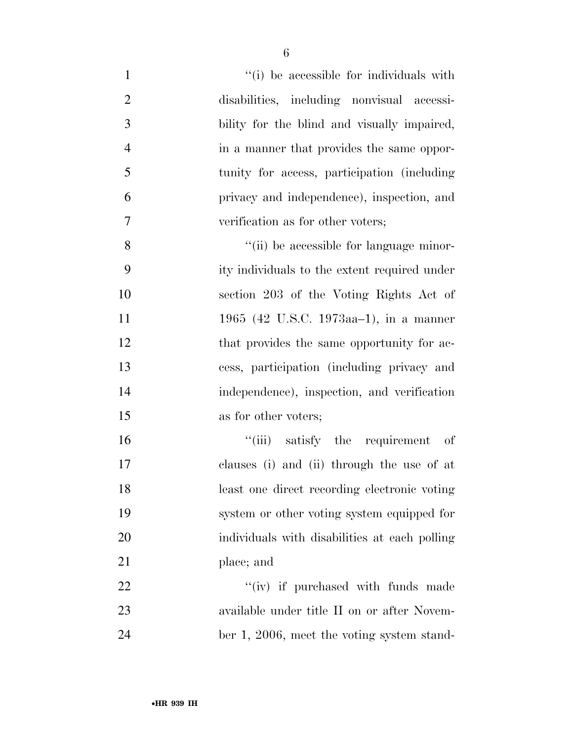| $\mathbf{1}$   | "(i) be accessible for individuals with       |
|----------------|-----------------------------------------------|
| $\overline{2}$ | disabilities, including nonvisual accessi-    |
| 3              | bility for the blind and visually impaired,   |
| $\overline{4}$ | in a manner that provides the same oppor-     |
| 5              | tunity for access, participation (including)  |
| 6              | privacy and independence), inspection, and    |
| $\tau$         | verification as for other voters;             |
| 8              | "(ii) be accessible for language minor-       |
| 9              | ity individuals to the extent required under  |
| 10             | section 203 of the Voting Rights Act of       |
| 11             | 1965 (42 U.S.C. 1973aa-1), in a manner        |
| 12             | that provides the same opportunity for ac-    |
| 13             | cess, participation (including privacy and    |
| 14             | independence), inspection, and verification   |
| 15             | as for other voters;                          |
| 16             | "(iii) satisfy the requirement of             |
| 17             | clauses (i) and (ii) through the use of at    |
| 18             | least one direct recording electronic voting  |
| 19             | system or other voting system equipped for    |
| 20             | individuals with disabilities at each polling |
| 21             | place; and                                    |
| 22             | "(iv) if purchased with funds made            |
| 23             | available under title II on or after Novem-   |
| 24             | ber 1, 2006, meet the voting system stand-    |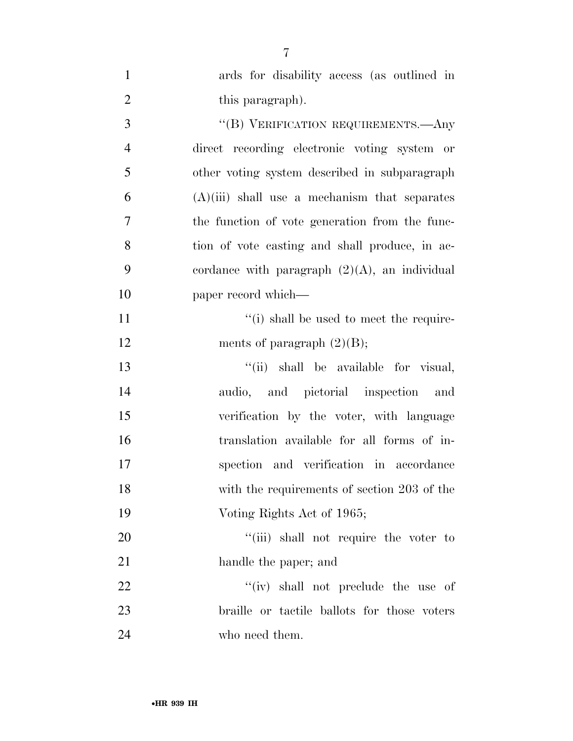| $\mathbf{1}$   | ards for disability access (as outlined in       |
|----------------|--------------------------------------------------|
| $\mathfrak{2}$ | this paragraph).                                 |
| 3              | "(B) VERIFICATION REQUIREMENTS.—Any              |
| $\overline{4}$ | direct recording electronic voting system or     |
| 5              | other voting system described in subparagraph    |
| 6              | $(A)(iii)$ shall use a mechanism that separates  |
| $\overline{7}$ | the function of vote generation from the func-   |
| 8              | tion of vote casting and shall produce, in ac-   |
| 9              | cordance with paragraph $(2)(A)$ , an individual |
| 10             | paper record which—                              |
| 11             | "(i) shall be used to meet the require-          |
| 12             | ments of paragraph $(2)(B)$ ;                    |
| 13             | "(ii) shall be available for visual,             |
| 14             | audio, and pictorial inspection and              |
| 15             | verification by the voter, with language         |
| 16             | translation available for all forms of in-       |
| 17             | spection and verification in accordance          |
| 18             | with the requirements of section 203 of the      |
| 19             | Voting Rights Act of 1965;                       |
| 20             | "(iii) shall not require the voter to            |
| 21             | handle the paper; and                            |
| 22             | "(iv) shall not preclude the use of              |
| 23             | braille or tactile ballots for those voters      |
| 24             | who need them.                                   |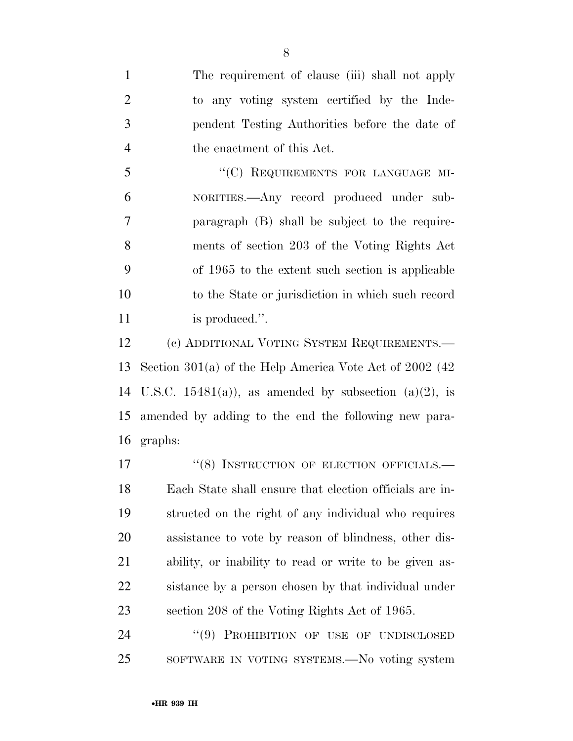The requirement of clause (iii) shall not apply to any voting system certified by the Inde- pendent Testing Authorities before the date of the enactment of this Act.

5 "(C) REQUIREMENTS FOR LANGUAGE MI- NORITIES.—Any record produced under sub- paragraph (B) shall be subject to the require- ments of section 203 of the Voting Rights Act of 1965 to the extent such section is applicable to the State or jurisdiction in which such record 11 is produced.".

 (c) ADDITIONAL VOTING SYSTEM REQUIREMENTS.— Section 301(a) of the Help America Vote Act of 2002 (42 14 U.S.C. 15481(a)), as amended by subsection  $(a)(2)$ , is amended by adding to the end the following new para-graphs:

17 "(8) INSTRUCTION OF ELECTION OFFICIALS.— Each State shall ensure that election officials are in- structed on the right of any individual who requires assistance to vote by reason of blindness, other dis- ability, or inability to read or write to be given as- sistance by a person chosen by that individual under section 208 of the Voting Rights Act of 1965.

24 "(9) PROHIBITION OF USE OF UNDISCLOSED SOFTWARE IN VOTING SYSTEMS.—No voting system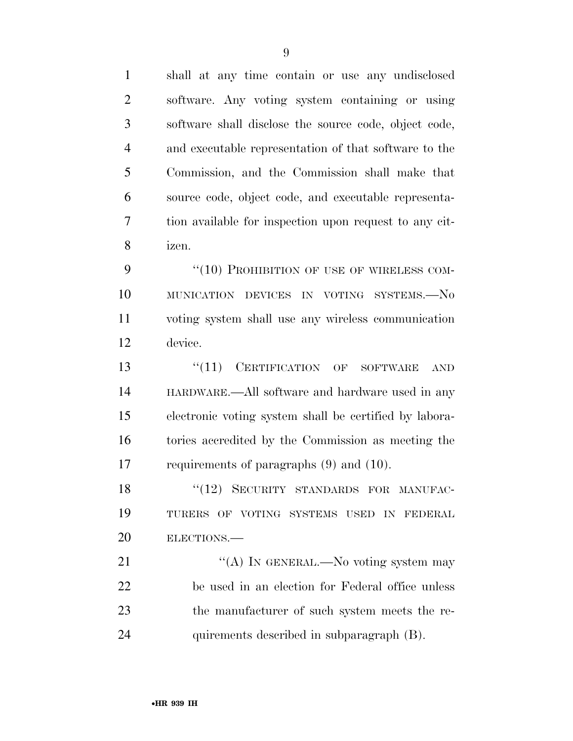shall at any time contain or use any undisclosed software. Any voting system containing or using software shall disclose the source code, object code, and executable representation of that software to the Commission, and the Commission shall make that source code, object code, and executable representa- tion available for inspection upon request to any cit-izen.

9 "(10) PROHIBITION OF USE OF WIRELESS COM- MUNICATION DEVICES IN VOTING SYSTEMS.—No voting system shall use any wireless communication device.

13 "(11) CERTIFICATION OF SOFTWARE AND HARDWARE.—All software and hardware used in any electronic voting system shall be certified by labora- tories accredited by the Commission as meeting the requirements of paragraphs (9) and (10).

18 "(12) SECURITY STANDARDS FOR MANUFAC- TURERS OF VOTING SYSTEMS USED IN FEDERAL ELECTIONS.—

 $\cdot$  (A) In GENERAL.—No voting system may be used in an election for Federal office unless the manufacturer of such system meets the re-quirements described in subparagraph (B).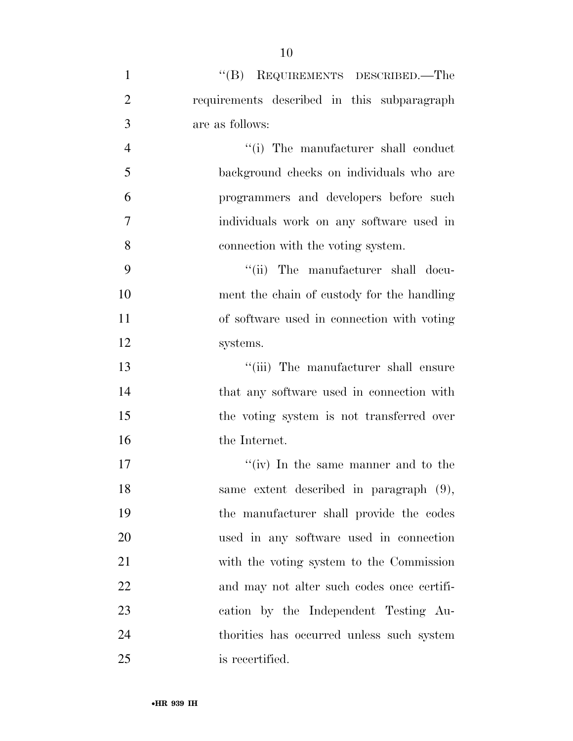| $\mathbf{1}$   | "(B) REQUIREMENTS DESCRIBED.—The            |
|----------------|---------------------------------------------|
| $\overline{2}$ | requirements described in this subparagraph |
| 3              | are as follows:                             |
| $\overline{4}$ | "(i) The manufacturer shall conduct         |
| 5              | background checks on individuals who are    |
| 6              | programmers and developers before such      |
| 7              | individuals work on any software used in    |
| 8              | connection with the voting system.          |
| 9              | "(ii) The manufacturer shall docu-          |
| 10             | ment the chain of custody for the handling  |
| 11             | of software used in connection with voting  |
| 12             | systems.                                    |
| 13             | "(iii) The manufacturer shall ensure        |
| 14             | that any software used in connection with   |
| 15             | the voting system is not transferred over   |
| 16             | the Internet.                               |
| 17             | "(iv) In the same manner and to the         |
| 18             | same extent described in paragraph (9),     |
| 19             | the manufacturer shall provide the codes    |
| 20             | used in any software used in connection     |
| 21             | with the voting system to the Commission    |
| 22             | and may not alter such codes once certifi-  |
| 23             | cation by the Independent Testing Au-       |
| 24             | thorities has occurred unless such system   |
| 25             | is recertified.                             |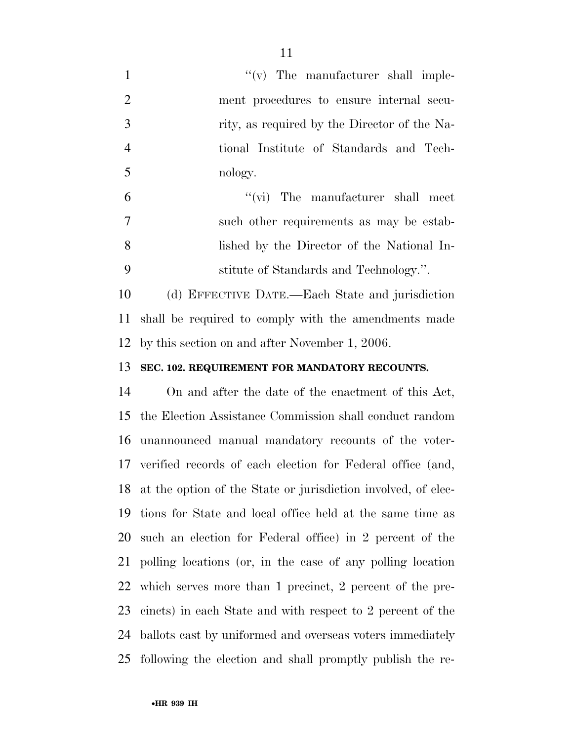1  $''(v)$  The manufacturer shall imple- ment procedures to ensure internal secu-3 rity, as required by the Director of the Na- tional Institute of Standards and Tech-nology.

 ''(vi) The manufacturer shall meet such other requirements as may be estab- lished by the Director of the National In-stitute of Standards and Technology.''.

 (d) EFFECTIVE DATE.—Each State and jurisdiction shall be required to comply with the amendments made by this section on and after November 1, 2006.

**SEC. 102. REQUIREMENT FOR MANDATORY RECOUNTS.** 

 On and after the date of the enactment of this Act, the Election Assistance Commission shall conduct random unannounced manual mandatory recounts of the voter- verified records of each election for Federal office (and, at the option of the State or jurisdiction involved, of elec- tions for State and local office held at the same time as such an election for Federal office) in 2 percent of the polling locations (or, in the case of any polling location which serves more than 1 precinct, 2 percent of the pre- cincts) in each State and with respect to 2 percent of the ballots cast by uniformed and overseas voters immediately following the election and shall promptly publish the re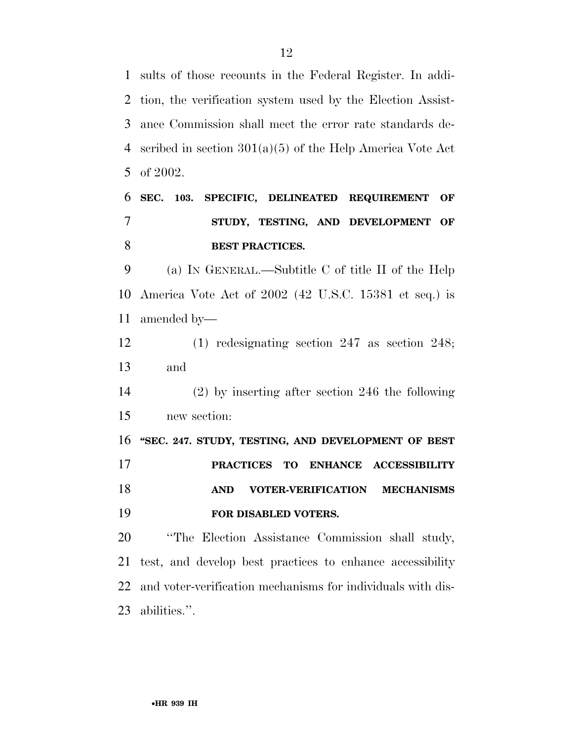sults of those recounts in the Federal Register. In addi- tion, the verification system used by the Election Assist- ance Commission shall meet the error rate standards de- scribed in section 301(a)(5) of the Help America Vote Act of 2002.

## **SEC. 103. SPECIFIC, DELINEATED REQUIREMENT OF STUDY, TESTING, AND DEVELOPMENT OF BEST PRACTICES.**

 (a) IN GENERAL.—Subtitle C of title II of the Help America Vote Act of 2002 (42 U.S.C. 15381 et seq.) is amended by—

 (1) redesignating section 247 as section 248; and

## (2) by inserting after section 246 the following new section:

 **''SEC. 247. STUDY, TESTING, AND DEVELOPMENT OF BEST PRACTICES TO ENHANCE ACCESSIBILITY AND VOTER-VERIFICATION MECHANISMS FOR DISABLED VOTERS.** 

 ''The Election Assistance Commission shall study, test, and develop best practices to enhance accessibility and voter-verification mechanisms for individuals with dis-abilities.''.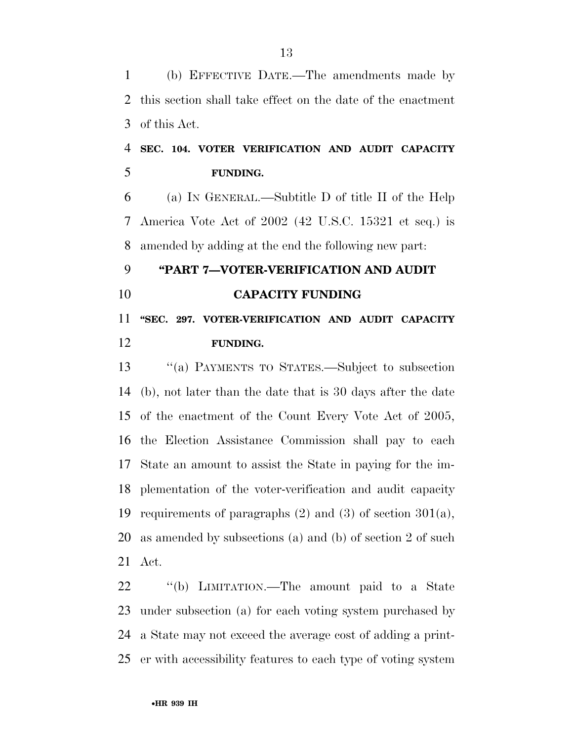(b) EFFECTIVE DATE.—The amendments made by this section shall take effect on the date of the enactment of this Act.

### **SEC. 104. VOTER VERIFICATION AND AUDIT CAPACITY FUNDING.**

 (a) IN GENERAL.—Subtitle D of title II of the Help America Vote Act of 2002 (42 U.S.C. 15321 et seq.) is amended by adding at the end the following new part:

# **''PART 7—VOTER-VERIFICATION AND AUDIT CAPACITY FUNDING**

## **''SEC. 297. VOTER-VERIFICATION AND AUDIT CAPACITY FUNDING.**

 ''(a) PAYMENTS TO STATES.—Subject to subsection (b), not later than the date that is 30 days after the date of the enactment of the Count Every Vote Act of 2005, the Election Assistance Commission shall pay to each State an amount to assist the State in paying for the im- plementation of the voter-verification and audit capacity 19 requirements of paragraphs  $(2)$  and  $(3)$  of section  $301(a)$ , as amended by subsections (a) and (b) of section 2 of such Act.

 ''(b) LIMITATION.—The amount paid to a State under subsection (a) for each voting system purchased by a State may not exceed the average cost of adding a print-er with accessibility features to each type of voting system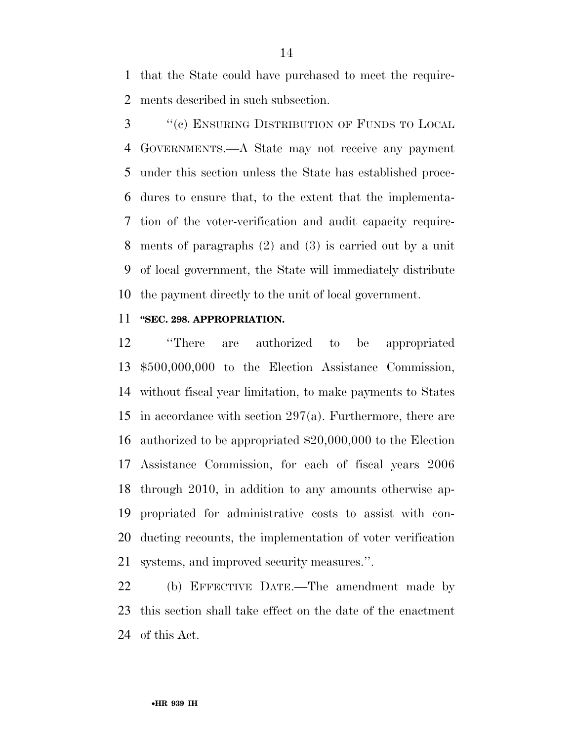that the State could have purchased to meet the require-ments described in such subsection.

 ''(c) ENSURING DISTRIBUTION OF FUNDS TO LOCAL GOVERNMENTS.—A State may not receive any payment under this section unless the State has established proce- dures to ensure that, to the extent that the implementa- tion of the voter-verification and audit capacity require- ments of paragraphs (2) and (3) is carried out by a unit of local government, the State will immediately distribute the payment directly to the unit of local government.

#### **''SEC. 298. APPROPRIATION.**

 ''There are authorized to be appropriated \$500,000,000 to the Election Assistance Commission, without fiscal year limitation, to make payments to States in accordance with section 297(a). Furthermore, there are authorized to be appropriated \$20,000,000 to the Election Assistance Commission, for each of fiscal years 2006 through 2010, in addition to any amounts otherwise ap- propriated for administrative costs to assist with con- ducting recounts, the implementation of voter verification systems, and improved security measures.''.

 (b) EFFECTIVE DATE.—The amendment made by this section shall take effect on the date of the enactment of this Act.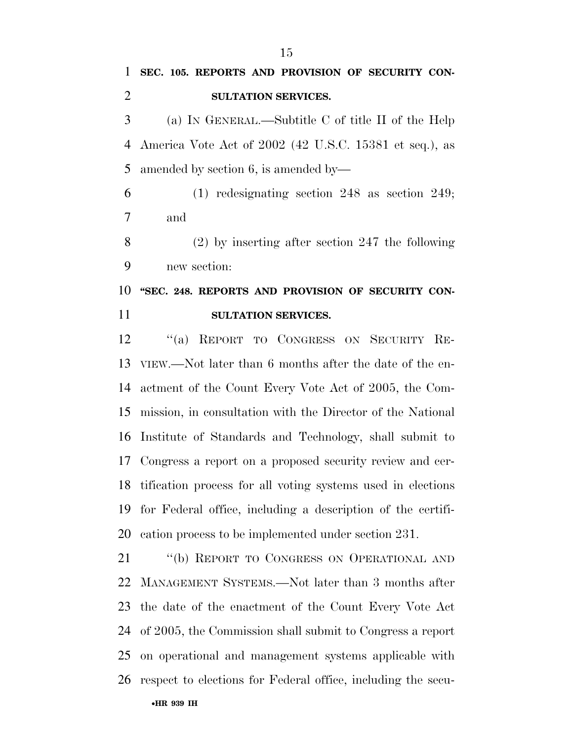## **SEC. 105. REPORTS AND PROVISION OF SECURITY CON-SULTATION SERVICES.**

 (a) IN GENERAL.—Subtitle C of title II of the Help America Vote Act of 2002 (42 U.S.C. 15381 et seq.), as amended by section 6, is amended by—

 (1) redesignating section 248 as section 249; and

 (2) by inserting after section 247 the following new section:

## **''SEC. 248. REPORTS AND PROVISION OF SECURITY CON-SULTATION SERVICES.**

 ''(a) REPORT TO CONGRESS ON SECURITY RE- VIEW.—Not later than 6 months after the date of the en- actment of the Count Every Vote Act of 2005, the Com- mission, in consultation with the Director of the National Institute of Standards and Technology, shall submit to Congress a report on a proposed security review and cer- tification process for all voting systems used in elections for Federal office, including a description of the certifi-cation process to be implemented under section 231.

 ''(b) REPORT TO CONGRESS ON OPERATIONAL AND MANAGEMENT SYSTEMS.—Not later than 3 months after the date of the enactment of the Count Every Vote Act of 2005, the Commission shall submit to Congress a report on operational and management systems applicable with respect to elections for Federal office, including the secu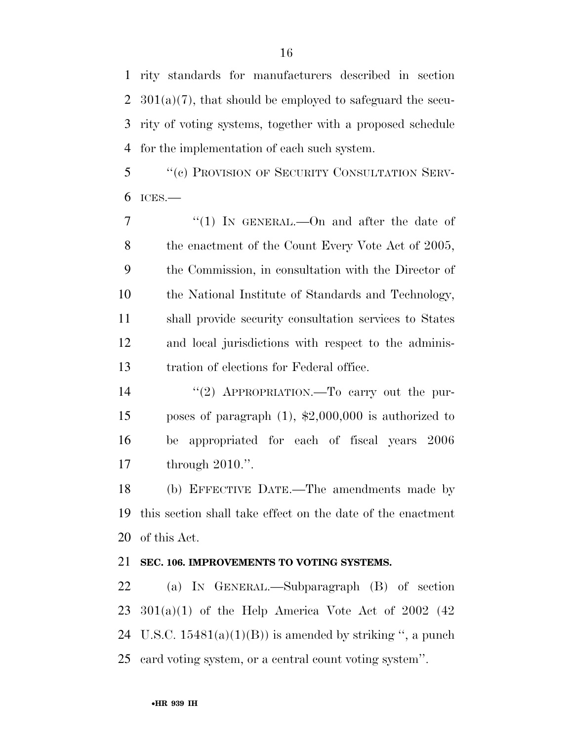rity standards for manufacturers described in section  $301(a)(7)$ , that should be employed to safeguard the secu- rity of voting systems, together with a proposed schedule for the implementation of each such system.

 ''(c) PROVISION OF SECURITY CONSULTATION SERV-ICES.—

7 "(1) In GENERAL.—On and after the date of 8 the enactment of the Count Every Vote Act of 2005, the Commission, in consultation with the Director of the National Institute of Standards and Technology, shall provide security consultation services to States and local jurisdictions with respect to the adminis-tration of elections for Federal office.

 ''(2) APPROPRIATION.—To carry out the pur- poses of paragraph (1), \$2,000,000 is authorized to be appropriated for each of fiscal years 2006 through 2010.''.

 (b) EFFECTIVE DATE.—The amendments made by this section shall take effect on the date of the enactment of this Act.

### **SEC. 106. IMPROVEMENTS TO VOTING SYSTEMS.**

 (a) IN GENERAL.—Subparagraph (B) of section  $23 \quad 301(a)(1)$  of the Help America Vote Act of  $2002 \quad (42)$ 24 U.S.C.  $15481(a)(1)(B)$  is amended by striking ", a punch card voting system, or a central count voting system''.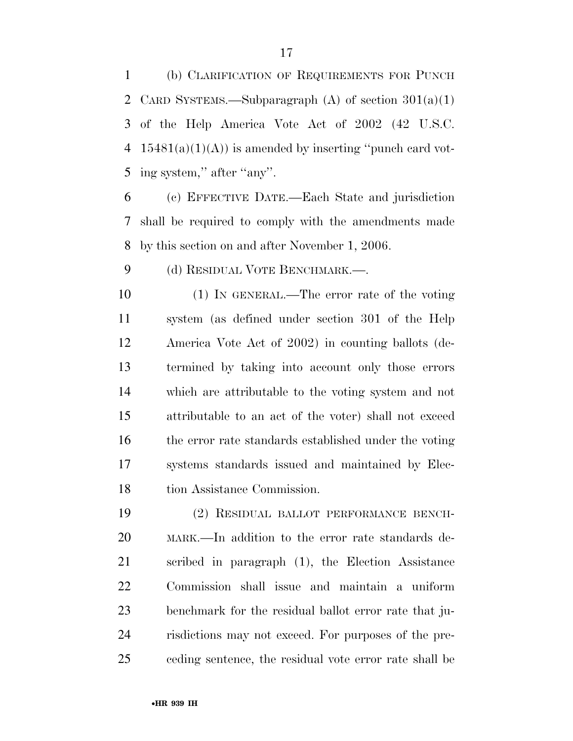(b) CLARIFICATION OF REQUIREMENTS FOR PUNCH 2 CARD SYSTEMS.—Subparagraph (A) of section  $301(a)(1)$  of the Help America Vote Act of 2002 (42 U.S.C. 4  $15481(a)(1)(A)$  is amended by inserting "punch card vot-5 ing system," after "any".

 (c) EFFECTIVE DATE.—Each State and jurisdiction shall be required to comply with the amendments made by this section on and after November 1, 2006.

9 (d) RESIDUAL VOTE BENCHMARK.—.

 (1) IN GENERAL.—The error rate of the voting system (as defined under section 301 of the Help America Vote Act of 2002) in counting ballots (de- termined by taking into account only those errors which are attributable to the voting system and not attributable to an act of the voter) shall not exceed the error rate standards established under the voting systems standards issued and maintained by Elec-tion Assistance Commission.

 (2) RESIDUAL BALLOT PERFORMANCE BENCH- MARK.—In addition to the error rate standards de- scribed in paragraph (1), the Election Assistance Commission shall issue and maintain a uniform benchmark for the residual ballot error rate that ju- risdictions may not exceed. For purposes of the pre-ceding sentence, the residual vote error rate shall be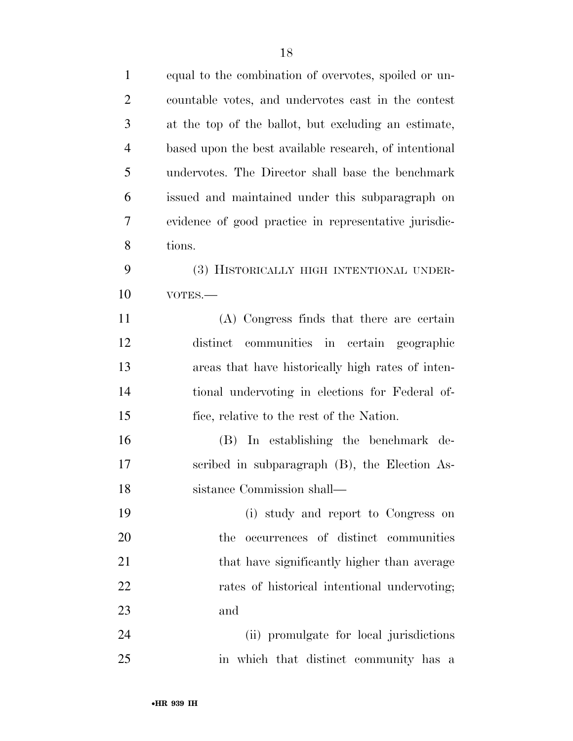| $\mathbf{1}$   | equal to the combination of overvotes, spoiled or un-  |
|----------------|--------------------------------------------------------|
| $\overline{2}$ | countable votes, and undervotes cast in the contest    |
| 3              | at the top of the ballot, but excluding an estimate,   |
| $\overline{4}$ | based upon the best available research, of intentional |
| 5              | undervotes. The Director shall base the benchmark      |
| 6              | issued and maintained under this subparagraph on       |
| 7              | evidence of good practice in representative jurisdic-  |
| 8              | tions.                                                 |
| 9              | (3) HISTORICALLY HIGH INTENTIONAL UNDER-               |
| 10             | VOTES.-                                                |
| 11             | (A) Congress finds that there are certain              |
| 12             | distinct communities in certain geographic             |
| 13             | areas that have historically high rates of inten-      |
| 14             | tional undervoting in elections for Federal of-        |
| 15             | fice, relative to the rest of the Nation.              |
| 16             | (B) In establishing the benchmark de-                  |
| 17             | scribed in subparagraph (B), the Election As-          |
| 18             | sistance Commission shall—                             |
| 19             | (i) study and report to Congress on                    |
| 20             | occurrences of distinct communities<br>the             |
| 21             | that have significantly higher than average            |
| 22             | rates of historical intentional undervoting;           |
| 23             | and                                                    |
| 24             | (ii) promulgate for local jurisdictions                |
|                |                                                        |

in which that distinct community has a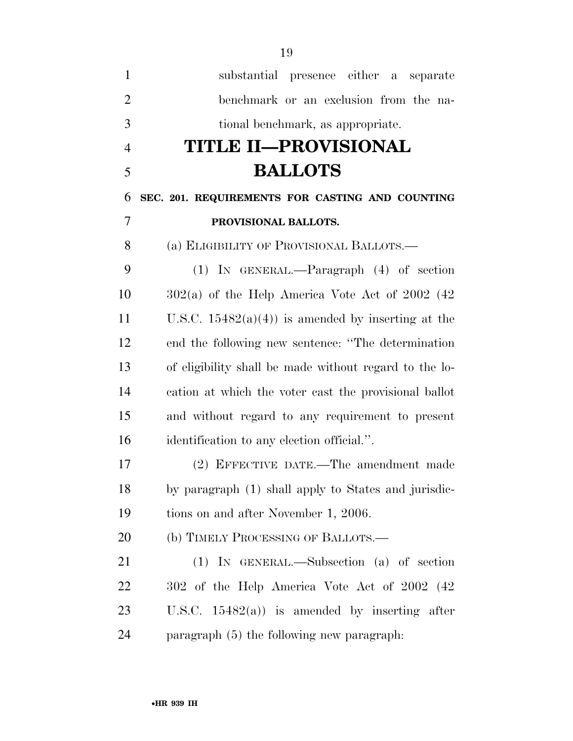| $\mathbf{1}$   | substantial presence either a<br>separate              |
|----------------|--------------------------------------------------------|
| $\overline{2}$ | benchmark or an exclusion from the na-                 |
| 3              | tional benchmark, as appropriate.                      |
| $\overline{4}$ | TITLE II—PROVISIONAL                                   |
| 5              | <b>BALLOTS</b>                                         |
| 6              | SEC. 201. REQUIREMENTS FOR CASTING AND COUNTING        |
| 7              | PROVISIONAL BALLOTS.                                   |
| 8              | (a) ELIGIBILITY OF PROVISIONAL BALLOTS.—               |
| 9              | $(1)$ IN GENERAL.—Paragraph $(4)$ of section           |
| 10             | $302(a)$ of the Help America Vote Act of 2002 (42)     |
| 11             | U.S.C. $15482(a)(4)$ is amended by inserting at the    |
| 12             | end the following new sentence: "The determination     |
| 13             | of eligibility shall be made without regard to the lo- |
| 14             | cation at which the voter cast the provisional ballot  |
| 15             | and without regard to any requirement to present       |
| 16             | identification to any election official.".             |
| 17             | (2) EFFECTIVE DATE.—The amendment made                 |
| 18             | by paragraph (1) shall apply to States and jurisdic-   |
| 19             | tions on and after November 1, 2006.                   |
| 20             | (b) TIMELY PROCESSING OF BALLOTS.—                     |
| 21             | $(1)$ IN GENERAL.—Subsection $(a)$ of section          |
| 22             | 302 of the Help America Vote Act of 2002 (42)          |
| 23             | U.S.C. $15482(a)$ is amended by inserting after        |
| 24             | paragraph (5) the following new paragraph.             |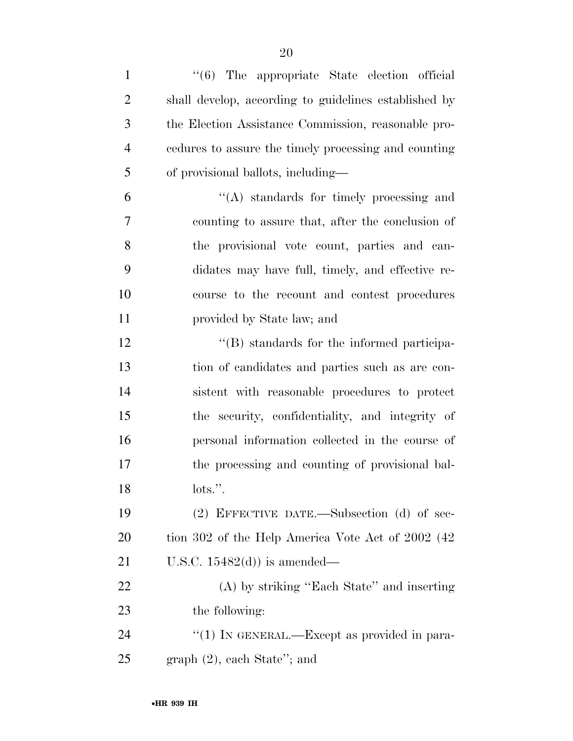| $\mathbf{1}$   | "(6) The appropriate State election official          |
|----------------|-------------------------------------------------------|
| $\overline{2}$ | shall develop, according to guidelines established by |
| 3              | the Election Assistance Commission, reasonable pro-   |
| $\overline{4}$ | cedures to assure the timely processing and counting  |
| 5              | of provisional ballots, including—                    |
| 6              | $\lq\lq$ standards for timely processing and          |
| 7              | counting to assure that, after the conclusion of      |
| 8              | the provisional vote count, parties and can-          |
| 9              | didates may have full, timely, and effective re-      |
| 10             | course to the recount and contest procedures          |
| 11             | provided by State law; and                            |
| 12             | "(B) standards for the informed participa-            |
| 13             | tion of candidates and parties such as are con-       |
| 14             | sistent with reasonable procedures to protect         |
| 15             | the security, confidentiality, and integrity of       |
| 16             | personal information collected in the course of       |
| 17             | the processing and counting of provisional bal-       |
| 18             | $\text{dots}$ ".                                      |
| 19             | $(2)$ EFFECTIVE DATE.—Subsection $(d)$ of sec-        |
| 20             | tion 302 of the Help America Vote Act of 2002 (42)    |
| 21             | U.S.C. $15482(d)$ is amended—                         |
| 22             | (A) by striking "Each State" and inserting            |
| 23             | the following:                                        |
| 24             | "(1) IN GENERAL.—Except as provided in para-          |
| 25             | $graph (2)$ , each State"; and                        |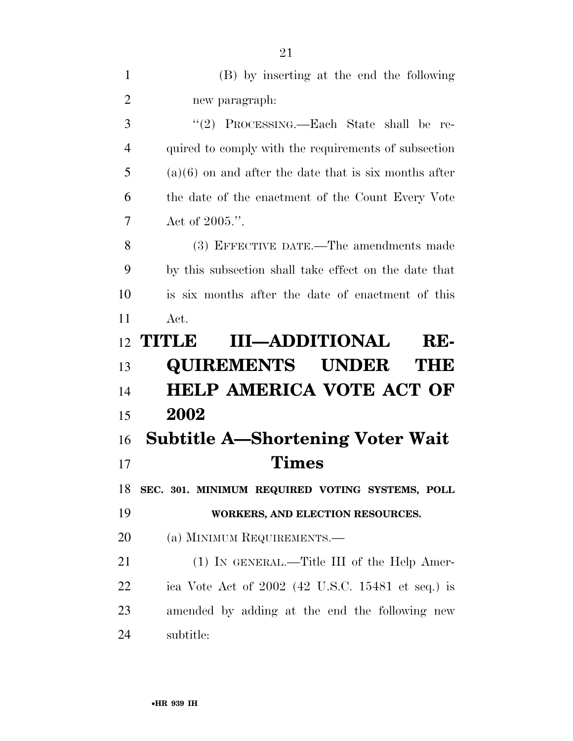| $\mathbf{1}$   | (B) by inserting at the end the following               |
|----------------|---------------------------------------------------------|
| $\overline{2}$ | new paragraph:                                          |
| 3              | "(2) PROCESSING.—Each State shall be re-                |
| $\overline{4}$ | quired to comply with the requirements of subsection    |
| 5              | $(a)(6)$ on and after the date that is six months after |
| 6              | the date of the enactment of the Count Every Vote       |
| 7              | Act of $2005$ .".                                       |
| 8              | (3) EFFECTIVE DATE.—The amendments made                 |
| 9              | by this subsection shall take effect on the date that   |
| 10             | is six months after the date of enactment of this       |
| 11             | $\operatorname{Act.}$                                   |
| 12             | <b>III-ADDITIONAL</b><br>TITLE<br>RE-                   |
| 13             | <b>QUIREMENTS UNDER</b><br>TIHE                         |
| 14             | <b>HELP AMERICA VOTE ACT OF</b>                         |
|                |                                                         |
| 15             | 2002                                                    |
| 16             | <b>Subtitle A—Shortening Voter Wait</b>                 |
| 17             | Times                                                   |
| 18             | SEC. 301. MINIMUM REQUIRED VOTING SYSTEMS, POLL         |
| 19             | WORKERS, AND ELECTION RESOURCES.                        |
| 20             | (a) MINIMUM REQUIREMENTS.—                              |
| 21             | (1) IN GENERAL.—Title III of the Help Amer-             |
| 22             | ica Vote Act of $2002$ (42 U.S.C. 15481 et seq.) is     |
| 23             | amended by adding at the end the following new          |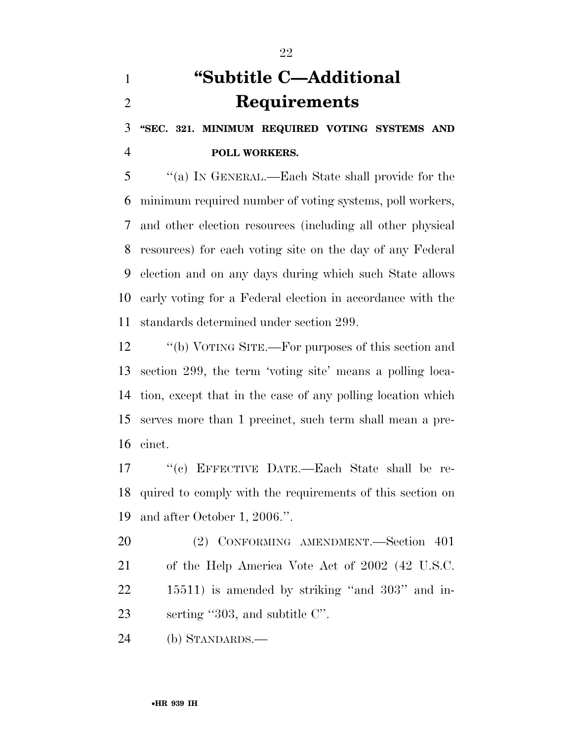# **''Subtitle C—Additional Requirements**

 **''SEC. 321. MINIMUM REQUIRED VOTING SYSTEMS AND POLL WORKERS.** 

 ''(a) IN GENERAL.—Each State shall provide for the minimum required number of voting systems, poll workers, and other election resources (including all other physical resources) for each voting site on the day of any Federal election and on any days during which such State allows early voting for a Federal election in accordance with the standards determined under section 299.

 ''(b) VOTING SITE.—For purposes of this section and section 299, the term 'voting site' means a polling loca- tion, except that in the case of any polling location which serves more than 1 precinct, such term shall mean a pre-cinct.

 ''(c) EFFECTIVE DATE.—Each State shall be re- quired to comply with the requirements of this section on and after October 1, 2006.''.

 (2) CONFORMING AMENDMENT.—Section 401 of the Help America Vote Act of 2002 (42 U.S.C. 15511) is amended by striking ''and 303'' and in-23 serting "303, and subtitle C".

(b) STANDARDS.—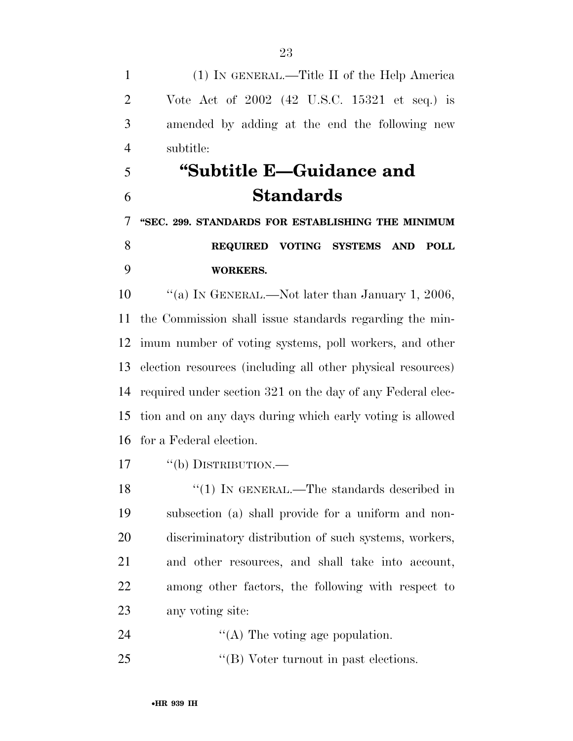(1) IN GENERAL.—Title II of the Help America Vote Act of 2002 (42 U.S.C. 15321 et seq.) is amended by adding at the end the following new subtitle:

# **''Subtitle E—Guidance and Standards**

 **''SEC. 299. STANDARDS FOR ESTABLISHING THE MINIMUM REQUIRED VOTING SYSTEMS AND POLL WORKERS.** 

10 "(a) IN GENERAL.—Not later than January 1, 2006, the Commission shall issue standards regarding the min- imum number of voting systems, poll workers, and other election resources (including all other physical resources) required under section 321 on the day of any Federal elec- tion and on any days during which early voting is allowed for a Federal election.

17 "(b) DISTRIBUTION.—

18 "(1) IN GENERAL.—The standards described in subsection (a) shall provide for a uniform and non- discriminatory distribution of such systems, workers, and other resources, and shall take into account, among other factors, the following with respect to any voting site:

- ''(A) The voting age population.
- ''(B) Voter turnout in past elections.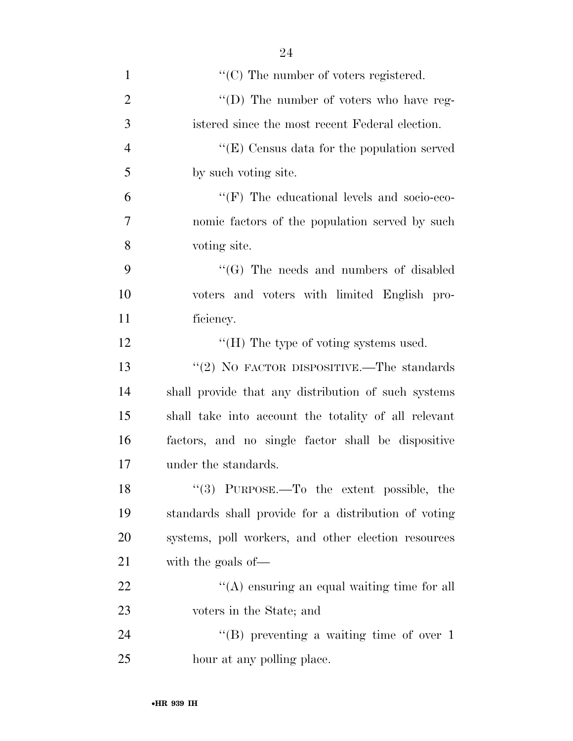| $\mathbf{1}$   | $\lq\lq$ (C) The number of voters registered.        |
|----------------|------------------------------------------------------|
| $\overline{2}$ | "(D) The number of voters who have reg-              |
| 3              | istered since the most recent Federal election.      |
| $\overline{4}$ | " $(E)$ Census data for the population served        |
| 5              | by such voting site.                                 |
| 6              | $\lq\lq(F)$ The educational levels and socio-eco-    |
| 7              | nomic factors of the population served by such       |
| 8              | voting site.                                         |
| 9              | $\lq\lq(G)$ The needs and numbers of disabled        |
| 10             | voters and voters with limited English pro-          |
| 11             | ficiency.                                            |
| 12             | "(H) The type of voting systems used.                |
| 13             | "(2) NO FACTOR DISPOSITIVE.—The standards            |
| 14             | shall provide that any distribution of such systems  |
| 15             | shall take into account the totality of all relevant |
| 16             | factors, and no single factor shall be dispositive   |
| 17             | under the standards.                                 |
| 18             | $(3)$ PURPOSE.—To the extent possible, the           |
| 19             | standards shall provide for a distribution of voting |
| 20             | systems, poll workers, and other election resources  |
| 21             | with the goals of-                                   |
| 22             | "(A) ensuring an equal waiting time for all          |
| 23             | voters in the State; and                             |
| 24             | $\lq\lq (B)$ preventing a waiting time of over 1     |
| 25             | hour at any polling place.                           |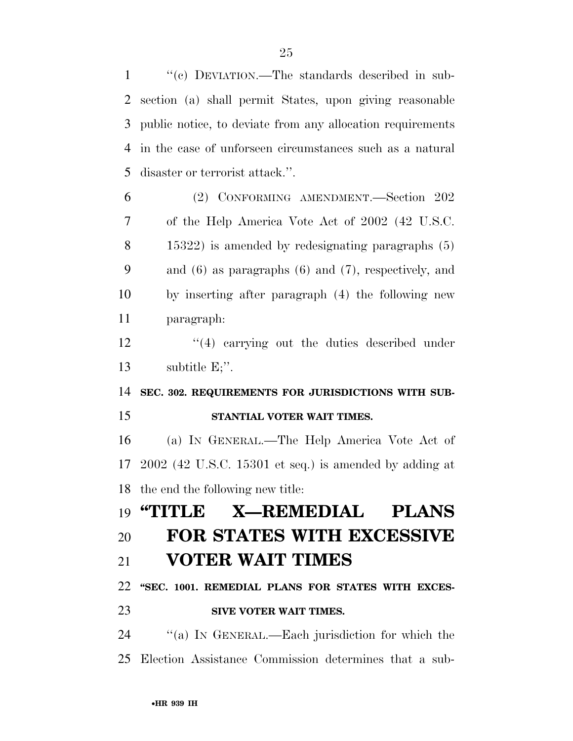''(c) DEVIATION.—The standards described in sub- section (a) shall permit States, upon giving reasonable public notice, to deviate from any allocation requirements in the case of unforseen circumstances such as a natural disaster or terrorist attack.''. (2) CONFORMING AMENDMENT.—Section 202 of the Help America Vote Act of 2002 (42 U.S.C. 15322) is amended by redesignating paragraphs (5) and (6) as paragraphs (6) and (7), respectively, and by inserting after paragraph (4) the following new paragraph: 12 ''(4) carrying out the duties described under subtitle E;''. **SEC. 302. REQUIREMENTS FOR JURISDICTIONS WITH SUB- STANTIAL VOTER WAIT TIMES.**  (a) IN GENERAL.—The Help America Vote Act of 2002 (42 U.S.C. 15301 et seq.) is amended by adding at the end the following new title: **''TITLE X—REMEDIAL PLANS FOR STATES WITH EXCESSIVE** 

### **VOTER WAIT TIMES**

**''SEC. 1001. REMEDIAL PLANS FOR STATES WITH EXCES-**

### **SIVE VOTER WAIT TIMES.**

 ''(a) IN GENERAL.—Each jurisdiction for which the Election Assistance Commission determines that a sub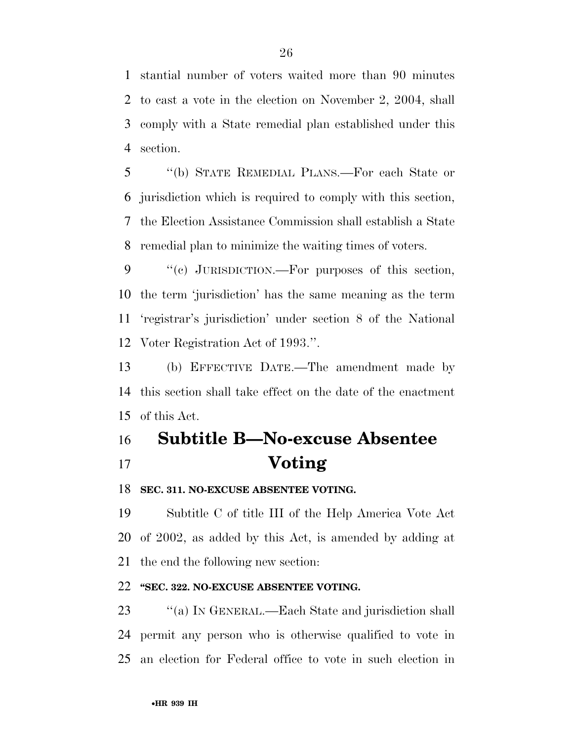stantial number of voters waited more than 90 minutes to cast a vote in the election on November 2, 2004, shall comply with a State remedial plan established under this section.

 ''(b) STATE REMEDIAL PLANS.—For each State or jurisdiction which is required to comply with this section, the Election Assistance Commission shall establish a State remedial plan to minimize the waiting times of voters.

 ''(c) JURISDICTION.—For purposes of this section, the term 'jurisdiction' has the same meaning as the term 'registrar's jurisdiction' under section 8 of the National Voter Registration Act of 1993.''.

 (b) EFFECTIVE DATE.—The amendment made by this section shall take effect on the date of the enactment of this Act.

# **Subtitle B—No-excuse Absentee Voting**

### **SEC. 311. NO-EXCUSE ABSENTEE VOTING.**

 Subtitle C of title III of the Help America Vote Act of 2002, as added by this Act, is amended by adding at the end the following new section:

### **''SEC. 322. NO-EXCUSE ABSENTEE VOTING.**

23 "(a) IN GENERAL.—Each State and jurisdiction shall permit any person who is otherwise qualified to vote in an election for Federal office to vote in such election in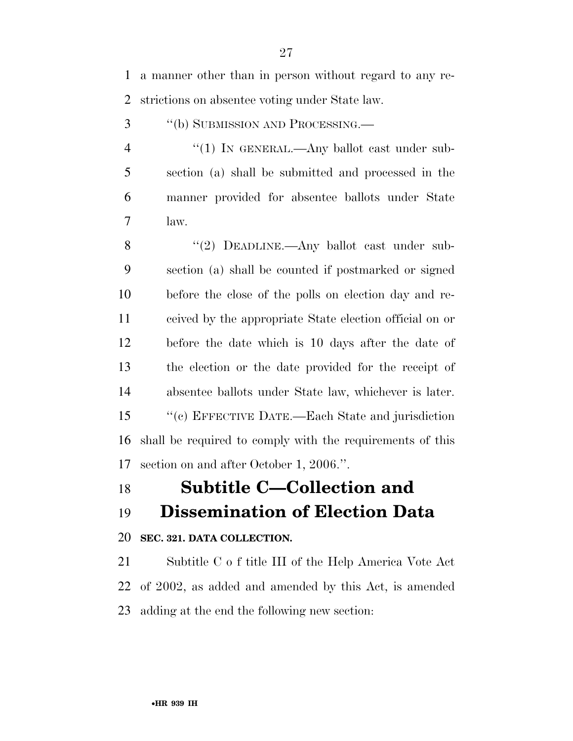a manner other than in person without regard to any re-strictions on absentee voting under State law.

''(b) SUBMISSION AND PROCESSING.—

4 "(1) In GENERAL.—Any ballot cast under sub- section (a) shall be submitted and processed in the manner provided for absentee ballots under State law.

8 "(2) DEADLINE.—Any ballot cast under sub- section (a) shall be counted if postmarked or signed before the close of the polls on election day and re- ceived by the appropriate State election official on or before the date which is 10 days after the date of the election or the date provided for the receipt of absentee ballots under State law, whichever is later. ''(c) EFFECTIVE DATE.—Each State and jurisdiction shall be required to comply with the requirements of this section on and after October 1, 2006.''.

### **Subtitle C—Collection and**

### **Dissemination of Election Data**

### **SEC. 321. DATA COLLECTION.**

 Subtitle C o f title III of the Help America Vote Act of 2002, as added and amended by this Act, is amended adding at the end the following new section: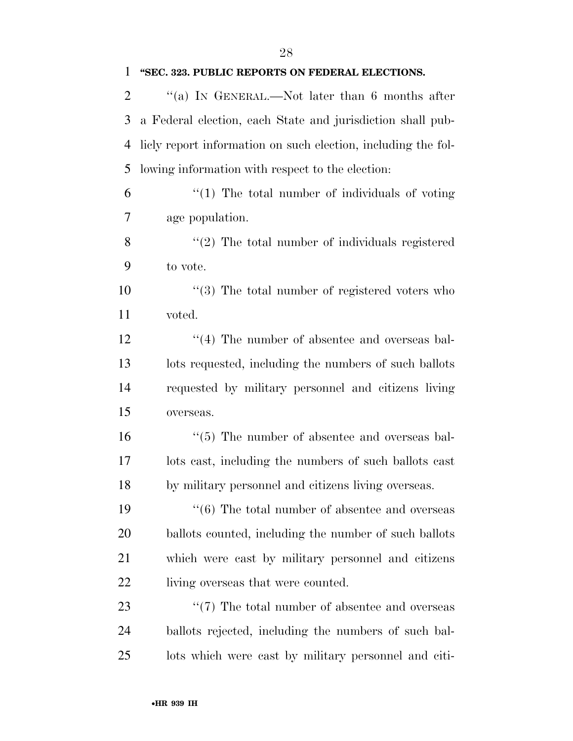## **''SEC. 323. PUBLIC REPORTS ON FEDERAL ELECTIONS.**

2 "(a) In GENERAL.—Not later than 6 months after a Federal election, each State and jurisdiction shall pub- licly report information on such election, including the fol-lowing information with respect to the election:

 "(1) The total number of individuals of voting age population.

8 "(2) The total number of individuals registered to vote.

10  $\frac{10}{2}$  The total number of registered voters who voted.

12 ''(4) The number of absentee and overseas bal- lots requested, including the numbers of such ballots requested by military personnel and citizens living overseas.

16  $\frac{16}{5}$  The number of absentee and overseas bal- lots cast, including the numbers of such ballots cast by military personnel and citizens living overseas.

19 ''(6) The total number of absentee and overseas ballots counted, including the number of such ballots which were cast by military personnel and citizens 22 living overseas that were counted.

23  $\frac{1}{2}$  The total number of absentee and overseas ballots rejected, including the numbers of such bal-lots which were cast by military personnel and citi-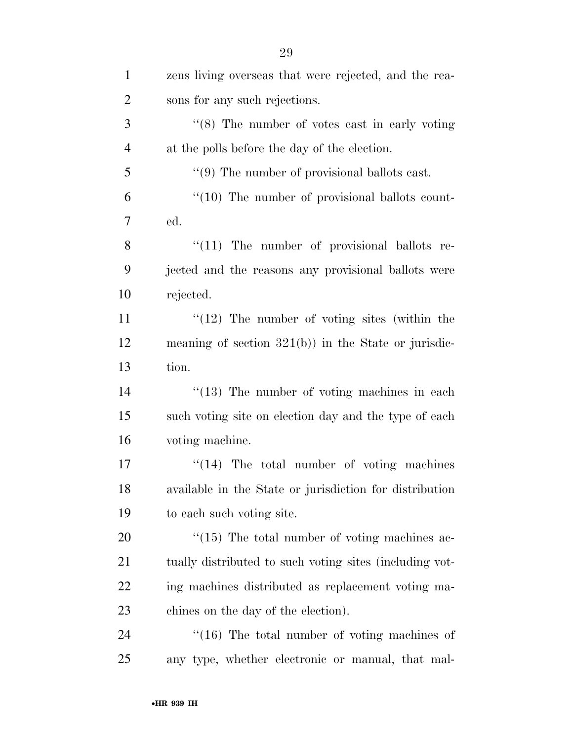| $\mathbf{1}$   | zens living overseas that were rejected, and the rea-   |
|----------------|---------------------------------------------------------|
| $\overline{2}$ | sons for any such rejections.                           |
| 3              | $\cdot$ (8) The number of votes cast in early voting    |
| $\overline{4}$ | at the polls before the day of the election.            |
| 5              | $\lq(9)$ The number of provisional ballots cast.        |
| 6              | $\lq(10)$ The number of provisional ballots count-      |
| 7              | ed.                                                     |
| 8              | $"(11)$ The number of provisional ballots re-           |
| 9              | jected and the reasons any provisional ballots were     |
| 10             | rejected.                                               |
| 11             | $\lq(12)$ The number of voting sites (within the        |
| 12             | meaning of section $321(b)$ ) in the State or jurisdic- |
| 13             | tion.                                                   |
| 14             | $\lq(13)$ The number of voting machines in each         |
| 15             | such voting site on election day and the type of each   |
| 16             | voting machine.                                         |
| 17             | $\cdot$ (14) The total number of voting machines        |
| 18             | available in the State or jurisdiction for distribution |
| 19             | to each such voting site.                               |
| 20             | $\cdot$ (15) The total number of voting machines ac-    |
| 21             | tually distributed to such voting sites (including vot- |
| 22             | ing machines distributed as replacement voting ma-      |
| 23             | chines on the day of the election).                     |
| 24             | $\cdot$ (16) The total number of voting machines of     |
| 25             | any type, whether electronic or manual, that mal-       |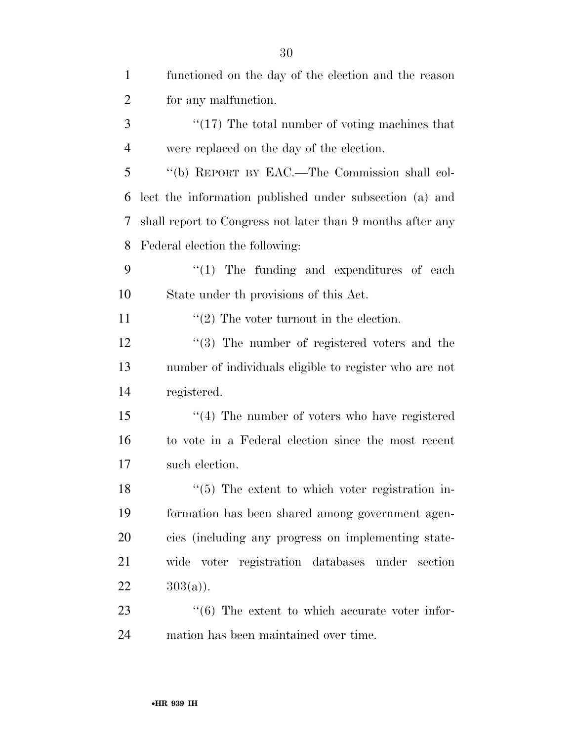| $\mathbf{1}$   | functioned on the day of the election and the reason       |
|----------------|------------------------------------------------------------|
| $\overline{2}$ | for any malfunction.                                       |
| 3              | $\lq(17)$ The total number of voting machines that         |
| $\overline{4}$ | were replaced on the day of the election.                  |
| 5              | "(b) REPORT BY EAC.—The Commission shall col-              |
| 6              | lect the information published under subsection (a) and    |
| 7              | shall report to Congress not later than 9 months after any |
| 8              | Federal election the following:                            |
| 9              | $\lq(1)$ The funding and expenditures of each              |
| 10             | State under the provisions of this Act.                    |
| 11             | $\cdot\cdot(2)$ The voter turnout in the election.         |
| 12             | $(3)$ The number of registered voters and the              |
| 13             | number of individuals eligible to register who are not     |
| 14             | registered.                                                |
| 15             | $\cdot$ (4) The number of voters who have registered       |
| 16             | to vote in a Federal election since the most recent        |
| 17             | such election.                                             |
| 18             | $\lq(5)$ The extent to which voter registration in-        |
| 19             | formation has been shared among government agen-           |
| 20             | cies (including any progress on implementing state-        |
| 21             | wide voter registration databases under<br>section         |
| 22             | $303(a)$ ).                                                |
| 23             | $\cdot\cdot$ (6) The extent to which accurate voter infor- |
| 24             | mation has been maintained over time.                      |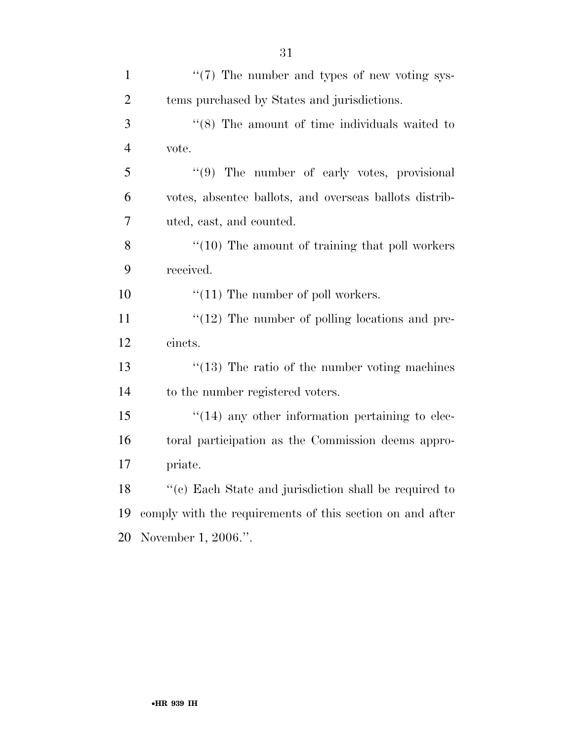| $\mathbf{1}$   | $\lq(7)$ The number and types of new voting sys-          |
|----------------|-----------------------------------------------------------|
| $\overline{2}$ | tems purchased by States and jurisdictions.               |
| 3              | $\cdot$ (8) The amount of time individuals waited to      |
| $\overline{4}$ | vote.                                                     |
| 5              | "(9) The number of early votes, provisional               |
| 6              | votes, absentee ballots, and overseas ballots distrib-    |
| $\overline{7}$ | uted, cast, and counted.                                  |
| 8              | $\cdot$ (10) The amount of training that poll workers     |
| 9              | received.                                                 |
| 10             | $\lq(11)$ The number of poll workers.                     |
| 11             | $\lq(12)$ The number of polling locations and pre-        |
| 12             | cincts.                                                   |
| 13             | $\degree$ (13) The ratio of the number voting machines    |
| 14             | to the number registered voters.                          |
| 15             | $"(14)$ any other information pertaining to elec-         |
| 16             | toral participation as the Commission deems appro-        |
| 17             | priate.                                                   |
| 18             | "(c) Each State and jurisdiction shall be required to     |
| 19             | comply with the requirements of this section on and after |
| 20             | November 1, 2006.".                                       |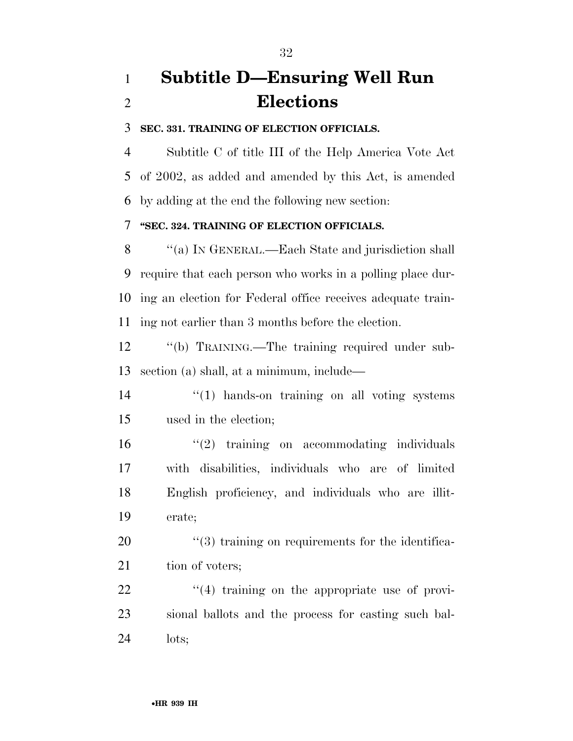# **Subtitle D—Ensuring Well Run Elections**

#### **SEC. 331. TRAINING OF ELECTION OFFICIALS.**

 Subtitle C of title III of the Help America Vote Act of 2002, as added and amended by this Act, is amended by adding at the end the following new section:

#### **''SEC. 324. TRAINING OF ELECTION OFFICIALS.**

8 "(a) IN GENERAL.—Each State and jurisdiction shall require that each person who works in a polling place dur- ing an election for Federal office receives adequate train-ing not earlier than 3 months before the election.

 ''(b) TRAINING.—The training required under sub-section (a) shall, at a minimum, include—

14  $\frac{1}{2}$  (1) hands-on training on all voting systems used in the election;

 ''(2) training on accommodating individuals with disabilities, individuals who are of limited English proficiency, and individuals who are illit-erate;

20  $\frac{1}{20}$   $\frac{1}{3}$  training on requirements for the identifica-21 tion of voters;

22  $\frac{1}{4}$  training on the appropriate use of provi- sional ballots and the process for casting such bal-lots;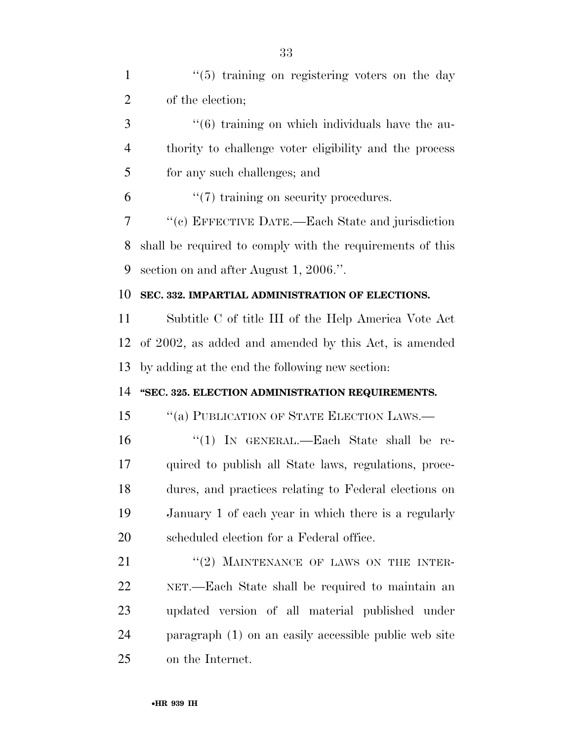| $\mathbf{1}$   | $\lq(5)$ training on registering voters on the day              |
|----------------|-----------------------------------------------------------------|
| $\overline{2}$ | of the election;                                                |
| 3              | $\cdot\cdot\cdot(6)$ training on which individuals have the au- |
| 4              | thority to challenge voter eligibility and the process          |
| 5              | for any such challenges; and                                    |
| 6              | $\lq(7)$ training on security procedures.                       |
| 7              | "(c) EFFECTIVE DATE.—Each State and jurisdiction                |
| 8              | shall be required to comply with the requirements of this       |
| 9              | section on and after August 1, 2006.".                          |
| 10             | SEC. 332. IMPARTIAL ADMINISTRATION OF ELECTIONS.                |
| 11             | Subtitle C of title III of the Help America Vote Act            |
| 12             | of 2002, as added and amended by this Act, is amended           |
| 13             | by adding at the end the following new section:                 |
| 14             | "SEC. 325. ELECTION ADMINISTRATION REQUIREMENTS.                |
| 15             | "(a) PUBLICATION OF STATE ELECTION LAWS.—                       |
| 16             | "(1) IN GENERAL.—Each State shall be re-                        |
| 17             | quired to publish all State laws, regulations, proce-           |
| 18             | dures, and practices relating to Federal elections on           |
| 19             | January 1 of each year in which there is a regularly            |
| 20             | scheduled election for a Federal office.                        |
| 21             | "(2) MAINTENANCE OF LAWS ON THE INTER-                          |
| 22             | NET.—Each State shall be required to maintain an                |
| 23             | updated version of all material published under                 |
| 24             | paragraph (1) on an easily accessible public web site           |
| 25             | on the Internet.                                                |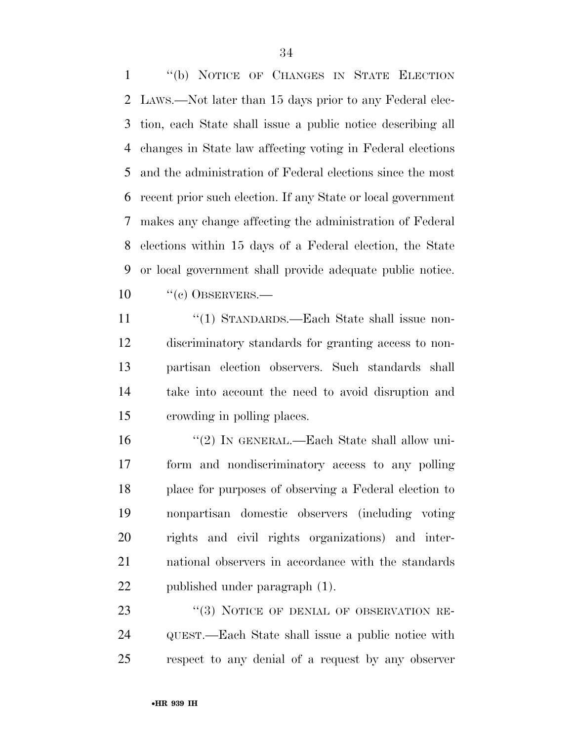''(b) NOTICE OF CHANGES IN STATE ELECTION LAWS.—Not later than 15 days prior to any Federal elec- tion, each State shall issue a public notice describing all changes in State law affecting voting in Federal elections and the administration of Federal elections since the most recent prior such election. If any State or local government makes any change affecting the administration of Federal elections within 15 days of a Federal election, the State or local government shall provide adequate public notice. 10 "(c) OBSERVERS.—

11 "(1) STANDARDS.—Each State shall issue non- discriminatory standards for granting access to non- partisan election observers. Such standards shall take into account the need to avoid disruption and crowding in polling places.

16 "(2) IN GENERAL.—Each State shall allow uni- form and nondiscriminatory access to any polling place for purposes of observing a Federal election to nonpartisan domestic observers (including voting rights and civil rights organizations) and inter- national observers in accordance with the standards published under paragraph (1).

23 "(3) NOTICE OF DENIAL OF OBSERVATION RE- QUEST.—Each State shall issue a public notice with respect to any denial of a request by any observer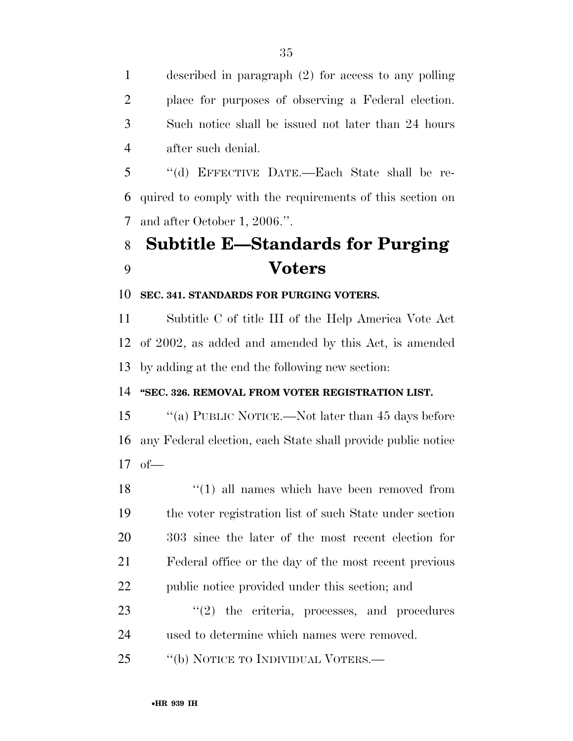described in paragraph (2) for access to any polling place for purposes of observing a Federal election. Such notice shall be issued not later than 24 hours after such denial.

 ''(d) EFFECTIVE DATE.—Each State shall be re- quired to comply with the requirements of this section on and after October 1, 2006.''.

# **Subtitle E—Standards for Purging Voters**

### **SEC. 341. STANDARDS FOR PURGING VOTERS.**

 Subtitle C of title III of the Help America Vote Act of 2002, as added and amended by this Act, is amended by adding at the end the following new section:

### **''SEC. 326. REMOVAL FROM VOTER REGISTRATION LIST.**

15 "(a) PUBLIC NOTICE.—Not later than 45 days before any Federal election, each State shall provide public notice of—

18 ''(1) all names which have been removed from the voter registration list of such State under section 303 since the later of the most recent election for Federal office or the day of the most recent previous public notice provided under this section; and

23  $\frac{1}{2}$  the criteria, processes, and procedures used to determine which names were removed.

25 "(b) NOTICE TO INDIVIDUAL VOTERS.—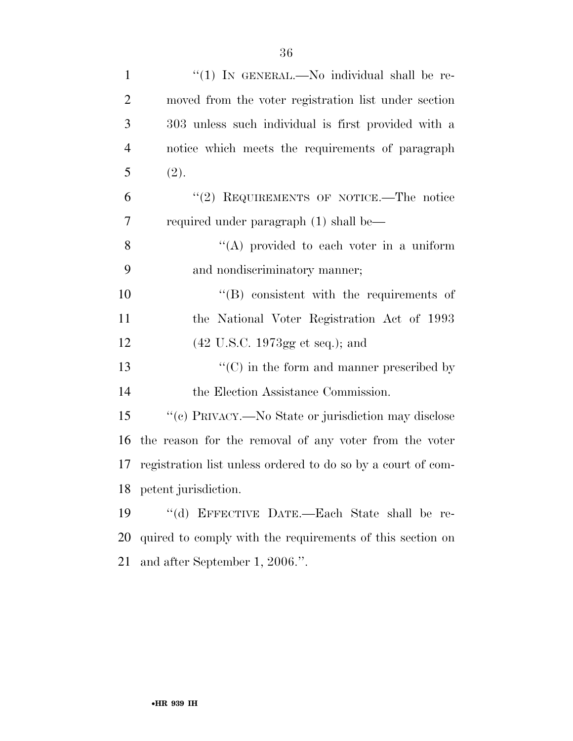| $\mathbf{1}$   | "(1) IN GENERAL.—No individual shall be re-                  |
|----------------|--------------------------------------------------------------|
| $\overline{2}$ | moved from the voter registration list under section         |
| 3              | 303 unless such individual is first provided with a          |
| $\overline{4}$ | notice which meets the requirements of paragraph             |
| 5              | (2).                                                         |
| 6              | "(2) REQUIREMENTS OF NOTICE.—The notice                      |
| 7              | required under paragraph (1) shall be—                       |
| 8              | "(A) provided to each voter in a uniform                     |
| 9              | and nondiscriminatory manner;                                |
| 10             | $\lq\lq$ consistent with the requirements of                 |
| 11             | the National Voter Registration Act of 1993                  |
| 12             | $(42 \text{ U.S.C. } 1973 \text{gg et seq.});$ and           |
| 13             | $\lq\lq$ (C) in the form and manner prescribed by            |
| 14             | the Election Assistance Commission.                          |
| 15             | "(c) PRIVACY.—No State or jurisdiction may disclose          |
| 16             | the reason for the removal of any voter from the voter       |
| 17             | registration list unless ordered to do so by a court of com- |
|                | 18 petent jurisdiction.                                      |
| 19             | "(d) EFFECTIVE DATE.—Each State shall be re-                 |
| <b>20</b>      | quired to comply with the requirements of this section on    |
| 21             | and after September 1, 2006.".                               |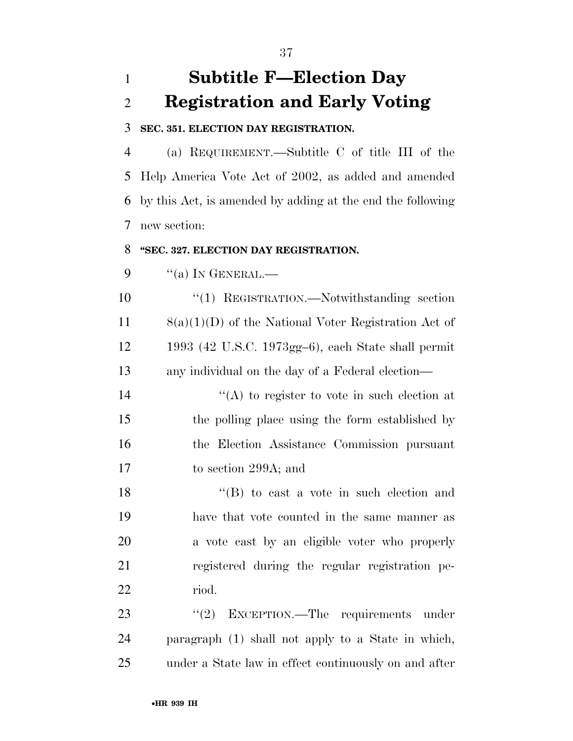## **Subtitle F—Election Day Registration and Early Voting**

#### **SEC. 351. ELECTION DAY REGISTRATION.**

 (a) REQUIREMENT.—Subtitle C of title III of the Help America Vote Act of 2002, as added and amended by this Act, is amended by adding at the end the following new section:

#### **''SEC. 327. ELECTION DAY REGISTRATION.**

"(a) In GENERAL.—

 ''(1) REGISTRATION.—Notwithstanding section 8(a)(1)(D) of the National Voter Registration Act of 1993 (42 U.S.C. 1973gg–6), each State shall permit any individual on the day of a Federal election—

 $\langle A \rangle$  to register to vote in such election at the polling place using the form established by the Election Assistance Commission pursuant to section 299A; and

18 ''(B) to cast a vote in such election and have that vote counted in the same manner as a vote cast by an eligible voter who properly registered during the regular registration pe-riod.

23 "(2) EXCEPTION.—The requirements under paragraph (1) shall not apply to a State in which, under a State law in effect continuously on and after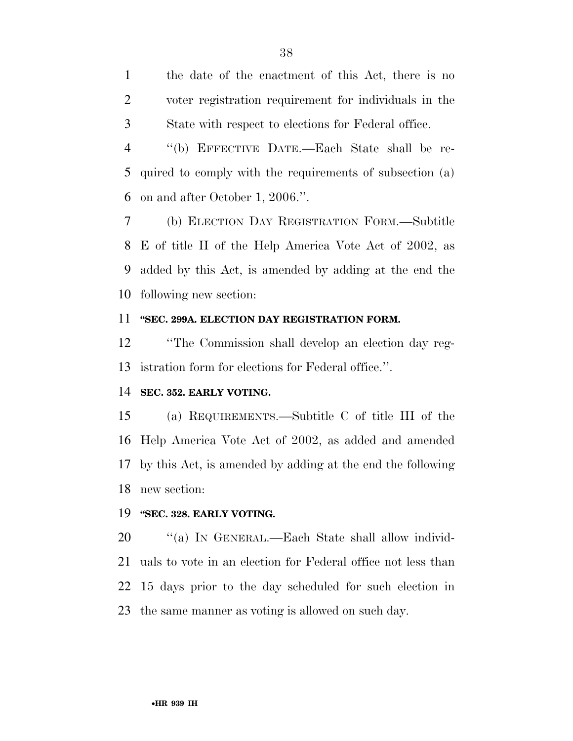the date of the enactment of this Act, there is no voter registration requirement for individuals in the State with respect to elections for Federal office.

 ''(b) EFFECTIVE DATE.—Each State shall be re- quired to comply with the requirements of subsection (a) on and after October 1, 2006.''.

 (b) ELECTION DAY REGISTRATION FORM.—Subtitle E of title II of the Help America Vote Act of 2002, as added by this Act, is amended by adding at the end the following new section:

#### **''SEC. 299A. ELECTION DAY REGISTRATION FORM.**

 ''The Commission shall develop an election day reg-istration form for elections for Federal office.''.

#### **SEC. 352. EARLY VOTING.**

 (a) REQUIREMENTS.—Subtitle C of title III of the Help America Vote Act of 2002, as added and amended by this Act, is amended by adding at the end the following new section:

#### **''SEC. 328. EARLY VOTING.**

20 "(a) In GENERAL.—Each State shall allow individ- uals to vote in an election for Federal office not less than 15 days prior to the day scheduled for such election in the same manner as voting is allowed on such day.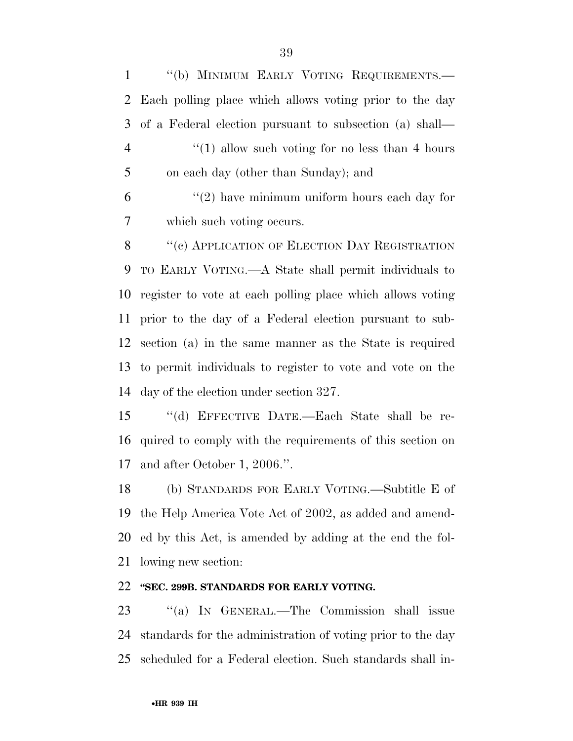''(b) MINIMUM EARLY VOTING REQUIREMENTS.— Each polling place which allows voting prior to the day of a Federal election pursuant to subsection (a) shall— 4 ''(1) allow such voting for no less than 4 hours on each day (other than Sunday); and  $(2)$  have minimum uniform hours each day for which such voting occurs. 8 "(c) APPLICATION OF ELECTION DAY REGISTRATION TO EARLY VOTING.—A State shall permit individuals to register to vote at each polling place which allows voting prior to the day of a Federal election pursuant to sub- section (a) in the same manner as the State is required to permit individuals to register to vote and vote on the day of the election under section 327.

 ''(d) EFFECTIVE DATE.—Each State shall be re- quired to comply with the requirements of this section on and after October 1, 2006.''.

 (b) STANDARDS FOR EARLY VOTING.—Subtitle E of the Help America Vote Act of 2002, as added and amend- ed by this Act, is amended by adding at the end the fol-lowing new section:

### **''SEC. 299B. STANDARDS FOR EARLY VOTING.**

23 "(a) In GENERAL.—The Commission shall issue standards for the administration of voting prior to the day scheduled for a Federal election. Such standards shall in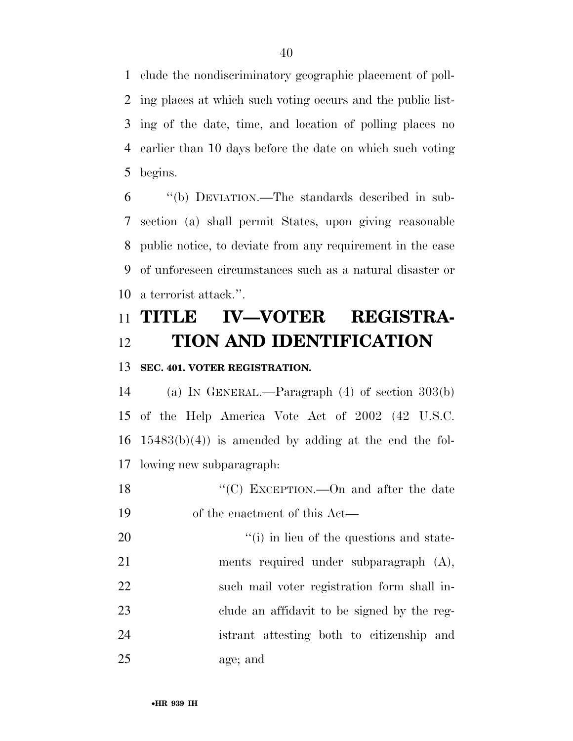clude the nondiscriminatory geographic placement of poll- ing places at which such voting occurs and the public list- ing of the date, time, and location of polling places no earlier than 10 days before the date on which such voting begins.

 ''(b) DEVIATION.—The standards described in sub- section (a) shall permit States, upon giving reasonable public notice, to deviate from any requirement in the case of unforeseen circumstances such as a natural disaster or a terrorist attack.''.

# **TITLE IV—VOTER REGISTRA-TION AND IDENTIFICATION**

### **SEC. 401. VOTER REGISTRATION.**

 (a) IN GENERAL.—Paragraph (4) of section 303(b) of the Help America Vote Act of 2002 (42 U.S.C.  $16 \quad 15483(b)(4)$  is amended by adding at the end the fol-lowing new subparagraph:

18 "'(C) EXCEPTION.—On and after the date of the enactment of this Act—

 $\frac{1}{1}$  in lieu of the questions and state- ments required under subparagraph (A), such mail voter registration form shall in- clude an affidavit to be signed by the reg- istrant attesting both to citizenship and age; and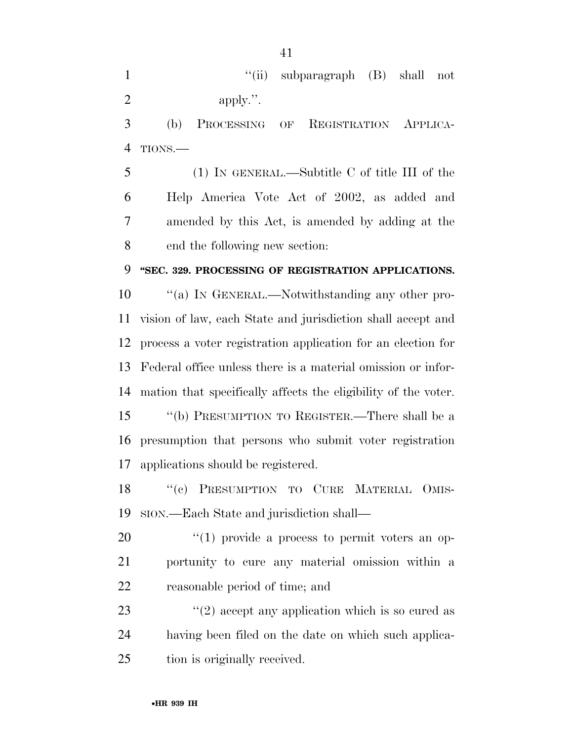1 ''(ii) subparagraph (B) shall not 2 apply.".

 (b) PROCESSING OF REGISTRATION APPLICA-TIONS.—

 (1) IN GENERAL.—Subtitle C of title III of the Help America Vote Act of 2002, as added and amended by this Act, is amended by adding at the end the following new section:

### **''SEC. 329. PROCESSING OF REGISTRATION APPLICATIONS.**

 $\qquad$  ''(a) In GENERAL.—Notwithstanding any other pro- vision of law, each State and jurisdiction shall accept and process a voter registration application for an election for Federal office unless there is a material omission or infor- mation that specifically affects the eligibility of the voter. ''(b) PRESUMPTION TO REGISTER.—There shall be a presumption that persons who submit voter registration applications should be registered.

18 "(c) PRESUMPTION TO CURE MATERIAL OMIS-SION.—Each State and jurisdiction shall—

 ''(1) provide a process to permit voters an op- portunity to cure any material omission within a reasonable period of time; and

23  $\frac{1}{2}$   $(2)$  accept any application which is so cured as having been filed on the date on which such applica-tion is originally received.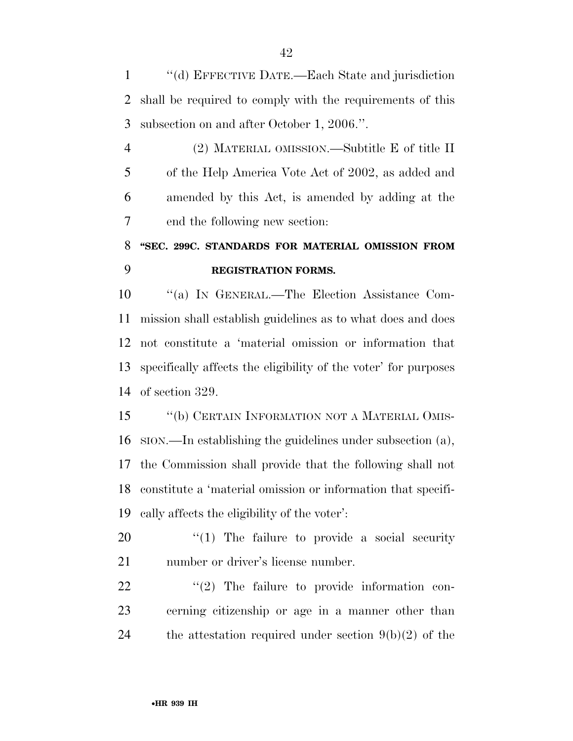''(d) EFFECTIVE DATE.—Each State and jurisdiction shall be required to comply with the requirements of this subsection on and after October 1, 2006.''.

 (2) MATERIAL OMISSION.—Subtitle E of title II of the Help America Vote Act of 2002, as added and amended by this Act, is amended by adding at the end the following new section:

## **''SEC. 299C. STANDARDS FOR MATERIAL OMISSION FROM REGISTRATION FORMS.**

 ''(a) IN GENERAL.—The Election Assistance Com- mission shall establish guidelines as to what does and does not constitute a 'material omission or information that specifically affects the eligibility of the voter' for purposes of section 329.

15 "(b) CERTAIN INFORMATION NOT A MATERIAL OMIS- SION.—In establishing the guidelines under subsection (a), the Commission shall provide that the following shall not constitute a 'material omission or information that specifi-cally affects the eligibility of the voter':

20  $\frac{1}{20}$  The failure to provide a social security number or driver's license number.

  $(2)$  The failure to provide information con- cerning citizenship or age in a manner other than 24 the attestation required under section  $9(b)(2)$  of the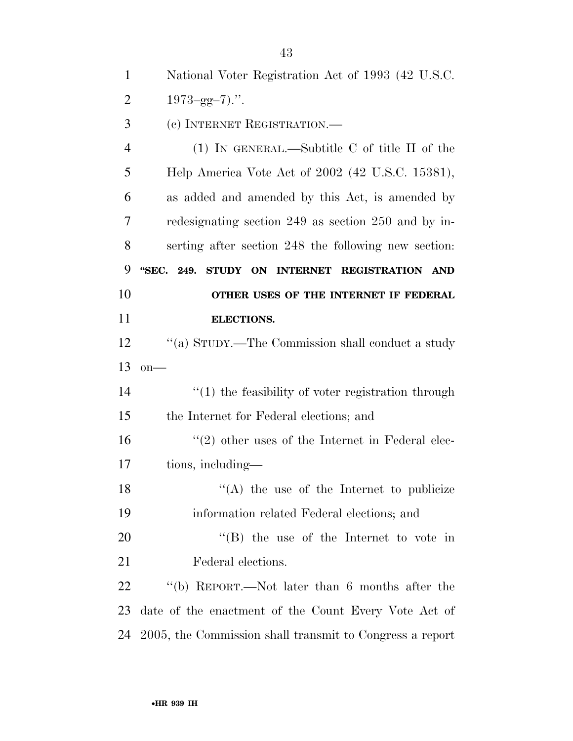National Voter Registration Act of 1993 (42 U.S.C.

2  $1973 - \text{gg} - 7)$ .".

(c) INTERNET REGISTRATION.—

 (1) IN GENERAL.—Subtitle C of title II of the Help America Vote Act of 2002 (42 U.S.C. 15381), as added and amended by this Act, is amended by redesignating section 249 as section 250 and by in- serting after section 248 the following new section: **''SEC. 249. STUDY ON INTERNET REGISTRATION AND OTHER USES OF THE INTERNET IF FEDERAL ELECTIONS.**  12 "(a) STUDY.—The Commission shall conduct a study on—  $\frac{1}{2}$  (1) the feasibility of voter registration through the Internet for Federal elections; and  $\frac{16}{2}$  (2) other uses of the Internet in Federal elec- tions, including— 18 ''(A) the use of the Internet to publicize information related Federal elections; and  $\text{``(B)}$  the use of the Internet to vote in Federal elections. ''(b) REPORT.—Not later than 6 months after the date of the enactment of the Count Every Vote Act of 2005, the Commission shall transmit to Congress a report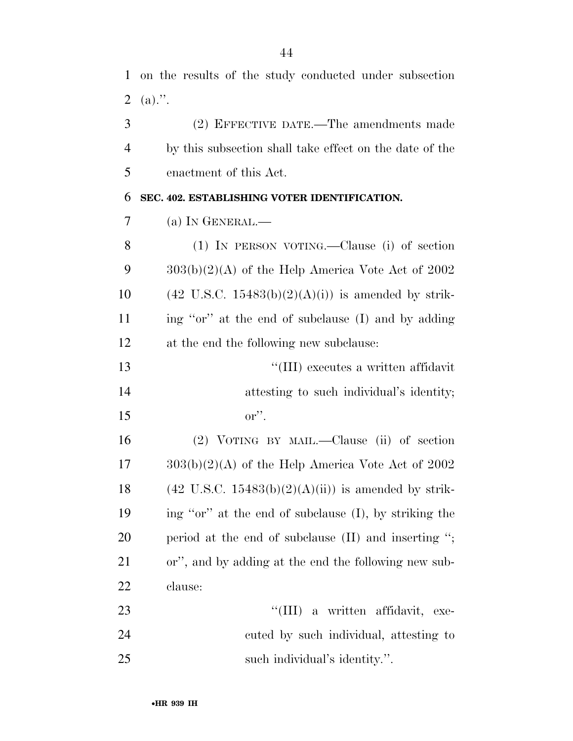|   | 1 on the results of the study conducted under subsection |  |
|---|----------------------------------------------------------|--|
|   | 2 (a).".                                                 |  |
| 3 | (2) EFFECTIVE DATE.—The amendments made                  |  |

 by this subsection shall take effect on the date of the enactment of this Act.

#### **SEC. 402. ESTABLISHING VOTER IDENTIFICATION.**

 (1) IN PERSON VOTING.—Clause (i) of section  $303(b)(2)(A)$  of the Help America Vote Act of 2002 10 (42 U.S.C. 15483(b)(2)(A)(i)) is amended by strik- ing ''or'' at the end of subclause (I) and by adding at the end the following new subclause:

 ''(III) executes a written affidavit 14 attesting to such individual's identity; or''.

 (2) VOTING BY MAIL.—Clause (ii) of section  $17 \qquad 303(b)(2)(A)$  of the Help America Vote Act of 2002 18 (42 U.S.C. 15483(b)(2)(A)(ii)) is amended by strik- ing ''or'' at the end of subclause (I), by striking the period at the end of subclause (II) and inserting ''; or'', and by adding at the end the following new sub-clause:

23  $\frac{1}{2}$  a written affidavit, exe- cuted by such individual, attesting to such individual's identity.''.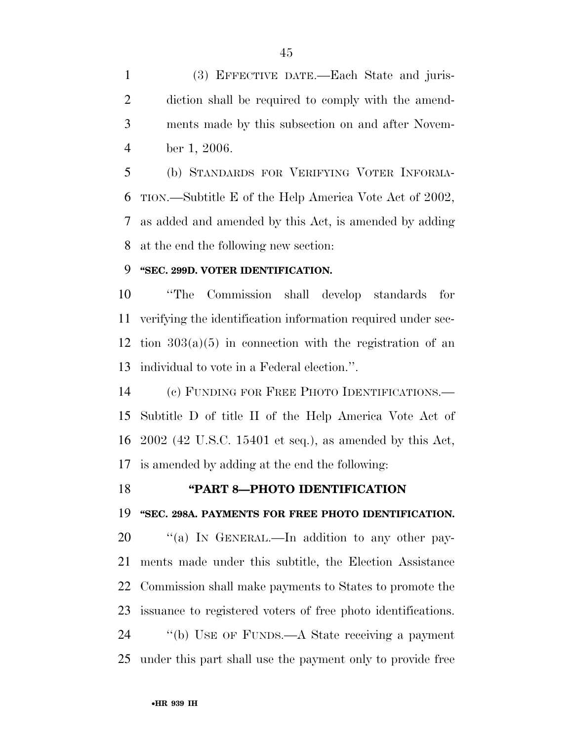(3) EFFECTIVE DATE.—Each State and juris- diction shall be required to comply with the amend- ments made by this subsection on and after Novem-ber 1, 2006.

 (b) STANDARDS FOR VERIFYING VOTER INFORMA- TION.—Subtitle E of the Help America Vote Act of 2002, as added and amended by this Act, is amended by adding at the end the following new section:

### **''SEC. 299D. VOTER IDENTIFICATION.**

 ''The Commission shall develop standards for verifying the identification information required under sec-12 tion  $303(a)(5)$  in connection with the registration of an individual to vote in a Federal election.''.

 (c) FUNDING FOR FREE PHOTO IDENTIFICATIONS.— Subtitle D of title II of the Help America Vote Act of 2002 (42 U.S.C. 15401 et seq.), as amended by this Act, is amended by adding at the end the following:

### **''PART 8—PHOTO IDENTIFICATION**

**''SEC. 298A. PAYMENTS FOR FREE PHOTO IDENTIFICATION.** 

20 "(a) IN GENERAL.—In addition to any other pay- ments made under this subtitle, the Election Assistance Commission shall make payments to States to promote the issuance to registered voters of free photo identifications. ''(b) USE OF FUNDS.—A State receiving a payment under this part shall use the payment only to provide free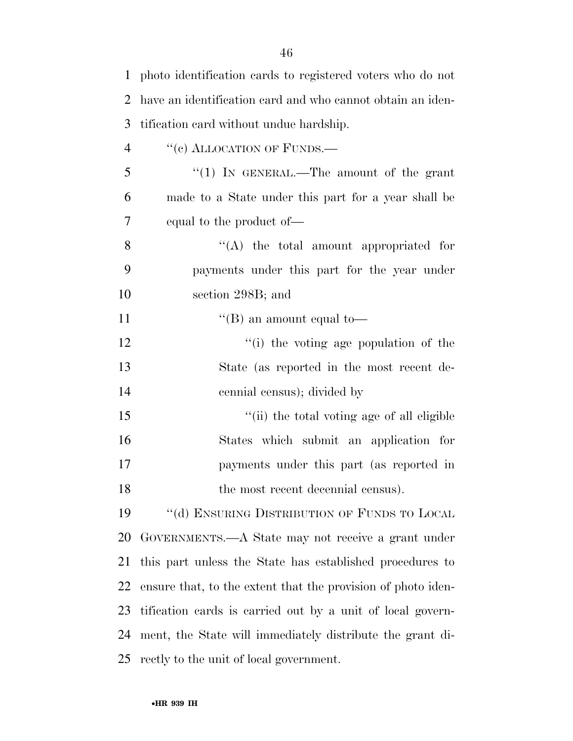| $\mathbf 1$    | photo identification cards to registered voters who do not   |
|----------------|--------------------------------------------------------------|
| 2              | have an identification card and who cannot obtain an iden-   |
| 3              | tification card without undue hardship.                      |
| $\overline{4}$ | "(c) ALLOCATION OF FUNDS.—                                   |
| 5              | "(1) IN GENERAL.—The amount of the grant                     |
| 6              | made to a State under this part for a year shall be          |
| 7              | equal to the product of—                                     |
| 8              | $\lq\lq$ the total amount appropriated for                   |
| 9              | payments under this part for the year under                  |
| $10\,$         | section 298B; and                                            |
| 11             | "(B) an amount equal to-                                     |
| 12             | "(i) the voting age population of the                        |
| 13             | State (as reported in the most recent de-                    |
| 14             | cennial census); divided by                                  |
| 15             | "(ii) the total voting age of all eligible                   |
| 16             | States which submit an application for                       |
| 17             | payments under this part (as reported in                     |
| 18             | the most recent decennial census).                           |
| 19             | $\lq\lq$ (d) ENSURING DISTRIBUTION OF FUNDS TO LOCAL         |
| 20             | GOVERNMENTS.—A State may not receive a grant under           |
| 21             | this part unless the State has established procedures to     |
| 22             | ensure that, to the extent that the provision of photo iden- |
| 23             | tification cards is carried out by a unit of local govern-   |
| 24             | ment, the State will immediately distribute the grant di-    |
| 25             | rectly to the unit of local government.                      |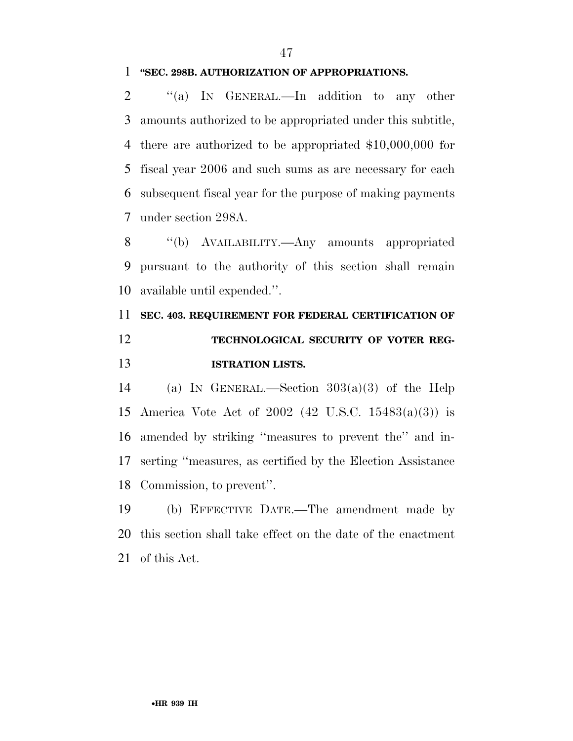#### **''SEC. 298B. AUTHORIZATION OF APPROPRIATIONS.**

2 "(a) IN GENERAL.—In addition to any other amounts authorized to be appropriated under this subtitle, there are authorized to be appropriated \$10,000,000 for fiscal year 2006 and such sums as are necessary for each subsequent fiscal year for the purpose of making payments under section 298A.

 ''(b) AVAILABILITY.—Any amounts appropriated pursuant to the authority of this section shall remain available until expended.''.

## **SEC. 403. REQUIREMENT FOR FEDERAL CERTIFICATION OF TECHNOLOGICAL SECURITY OF VOTER REG-ISTRATION LISTS.**

14 (a) In GENERAL.—Section  $303(a)(3)$  of the Help America Vote Act of 2002 (42 U.S.C. 15483(a)(3)) is amended by striking ''measures to prevent the'' and in- serting ''measures, as certified by the Election Assistance Commission, to prevent''.

 (b) EFFECTIVE DATE.—The amendment made by this section shall take effect on the date of the enactment of this Act.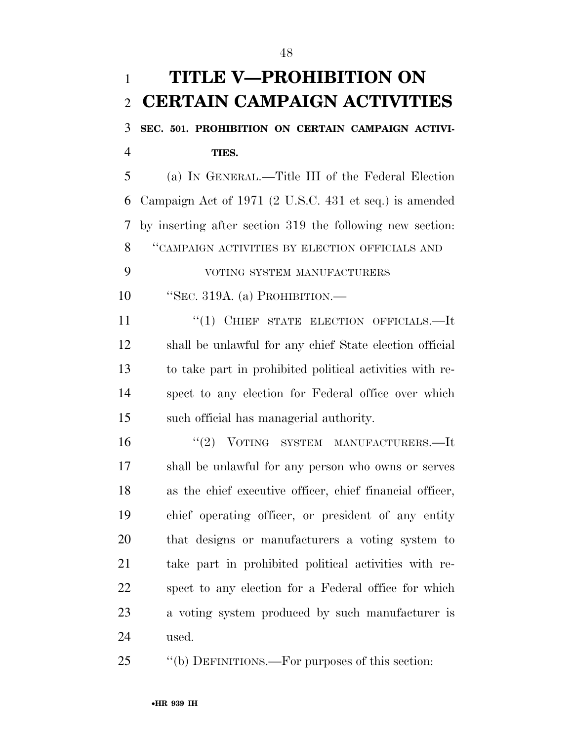# **TITLE V—PROHIBITION ON CERTAIN CAMPAIGN ACTIVITIES**

 **SEC. 501. PROHIBITION ON CERTAIN CAMPAIGN ACTIVI-TIES.** 

 (a) IN GENERAL.—Title III of the Federal Election Campaign Act of 1971 (2 U.S.C. 431 et seq.) is amended by inserting after section 319 the following new section: ''CAMPAIGN ACTIVITIES BY ELECTION OFFICIALS AND

VOTING SYSTEM MANUFACTURERS

''SEC. 319A. (a) PROHIBITION.—

11 "(1) CHIEF STATE ELECTION OFFICIALS.—It shall be unlawful for any chief State election official to take part in prohibited political activities with re- spect to any election for Federal office over which such official has managerial authority.

 $(2)$  VOTING SYSTEM MANUFACTURERS.—It shall be unlawful for any person who owns or serves as the chief executive officer, chief financial officer, chief operating officer, or president of any entity that designs or manufacturers a voting system to take part in prohibited political activities with re- spect to any election for a Federal office for which a voting system produced by such manufacturer is used.

''(b) DEFINITIONS.—For purposes of this section: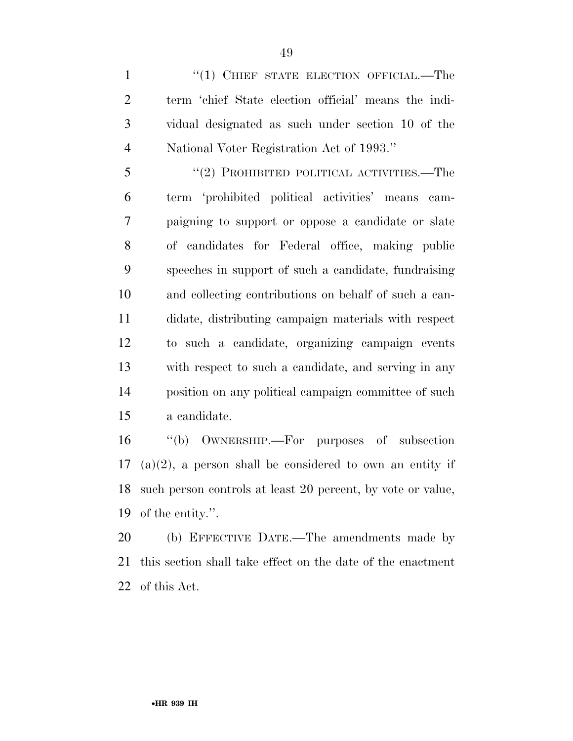1 "(1) CHIEF STATE ELECTION OFFICIAL.—The term 'chief State election official' means the indi- vidual designated as such under section 10 of the National Voter Registration Act of 1993.''

5 "(2) PROHIBITED POLITICAL ACTIVITIES.—The term 'prohibited political activities' means cam- paigning to support or oppose a candidate or slate of candidates for Federal office, making public speeches in support of such a candidate, fundraising and collecting contributions on behalf of such a can- didate, distributing campaign materials with respect to such a candidate, organizing campaign events with respect to such a candidate, and serving in any position on any political campaign committee of such a candidate.

 ''(b) OWNERSHIP.—For purposes of subsection (a)(2), a person shall be considered to own an entity if such person controls at least 20 percent, by vote or value, of the entity.''.

 (b) EFFECTIVE DATE.—The amendments made by this section shall take effect on the date of the enactment of this Act.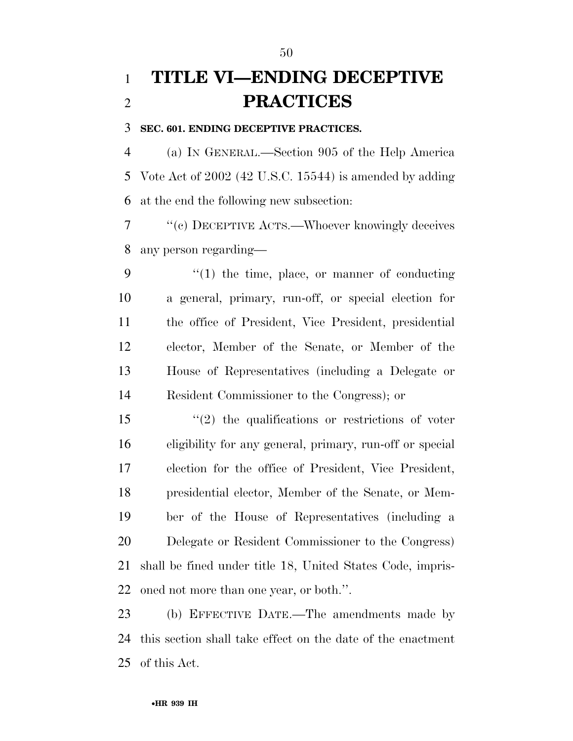## **TITLE VI—ENDING DECEPTIVE PRACTICES**

#### **SEC. 601. ENDING DECEPTIVE PRACTICES.**

 (a) IN GENERAL.—Section 905 of the Help America Vote Act of 2002 (42 U.S.C. 15544) is amended by adding at the end the following new subsection:

 ''(c) DECEPTIVE ACTS.—Whoever knowingly deceives any person regarding—

 $\frac{1}{2}$  (1) the time, place, or manner of conducting a general, primary, run-off, or special election for the office of President, Vice President, presidential elector, Member of the Senate, or Member of the House of Representatives (including a Delegate or Resident Commissioner to the Congress); or

 ''(2) the qualifications or restrictions of voter eligibility for any general, primary, run-off or special election for the office of President, Vice President, presidential elector, Member of the Senate, or Mem- ber of the House of Representatives (including a Delegate or Resident Commissioner to the Congress) shall be fined under title 18, United States Code, impris-oned not more than one year, or both.''.

 (b) EFFECTIVE DATE.—The amendments made by this section shall take effect on the date of the enactment of this Act.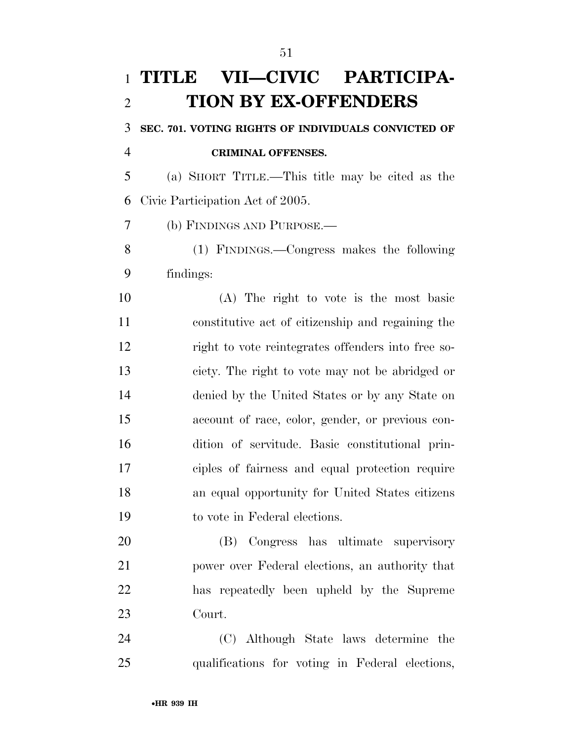# **TITLE VII—CIVIC PARTICIPA-TION BY EX-OFFENDERS**

**SEC. 701. VOTING RIGHTS OF INDIVIDUALS CONVICTED OF** 

**CRIMINAL OFFENSES.** 

 (a) SHORT TITLE.—This title may be cited as the Civic Participation Act of 2005.

(b) FINDINGS AND PURPOSE.—

 (1) FINDINGS.—Congress makes the following findings:

 (A) The right to vote is the most basic constitutive act of citizenship and regaining the right to vote reintegrates offenders into free so- ciety. The right to vote may not be abridged or denied by the United States or by any State on account of race, color, gender, or previous con- dition of servitude. Basic constitutional prin- ciples of fairness and equal protection require an equal opportunity for United States citizens to vote in Federal elections.

 (B) Congress has ultimate supervisory power over Federal elections, an authority that has repeatedly been upheld by the Supreme Court.

 (C) Although State laws determine the qualifications for voting in Federal elections,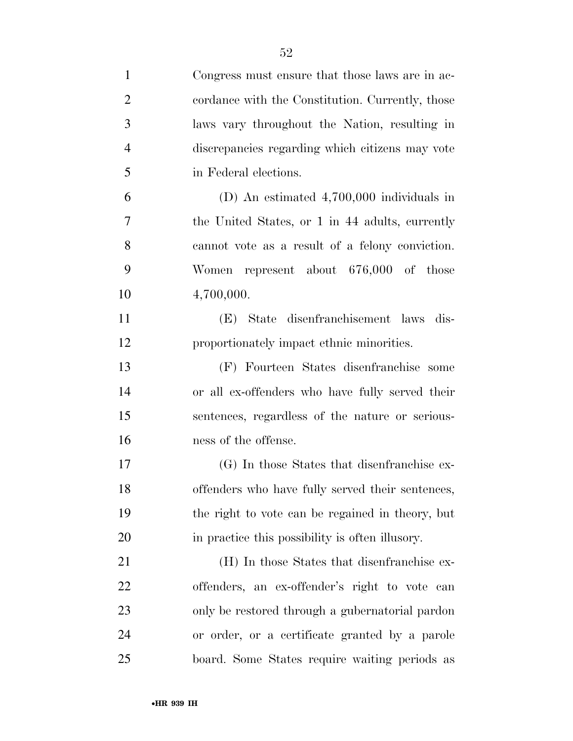| $\mathbf{1}$   | Congress must ensure that those laws are in ac-  |
|----------------|--------------------------------------------------|
| $\overline{2}$ | cordance with the Constitution. Currently, those |
| 3              | laws vary throughout the Nation, resulting in    |
| $\overline{4}$ | discrepancies regarding which citizens may vote  |
| 5              | in Federal elections.                            |
| 6              | (D) An estimated $4,700,000$ individuals in      |
| 7              | the United States, or 1 in 44 adults, currently  |
| 8              | cannot vote as a result of a felony conviction.  |
| 9              | Women represent about 676,000 of those           |
| 10             | 4,700,000.                                       |
| 11             | (E) State disenfranchisement laws dis-           |
| 12             | proportionately impact ethnic minorities.        |
| 13             | (F) Fourteen States disenfranchise some          |
| 14             | or all ex-offenders who have fully served their  |
| 15             | sentences, regardless of the nature or serious-  |
| 16             | ness of the offense.                             |
| 17             | (G) In those States that disenfranchise ex-      |
| 18             | offenders who have fully served their sentences, |
| 19             | the right to vote can be regained in theory, but |
| 20             | in practice this possibility is often illusory.  |
| 21             | (H) In those States that disenfranchise ex-      |
| 22             | offenders, an ex-offender's right to vote can    |
| 23             | only be restored through a gubernatorial pardon  |
| 24             | or order, or a certificate granted by a parole   |
| 25             | board. Some States require waiting periods as    |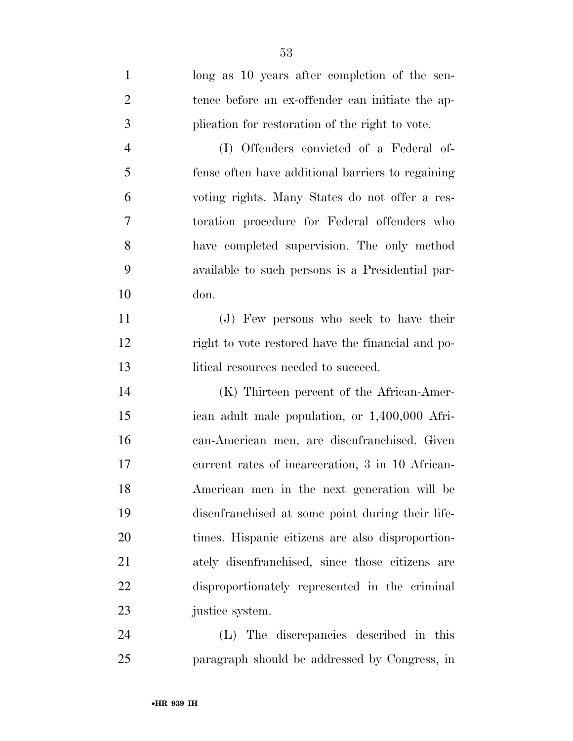| $\mathbf{1}$   | long as 10 years after completion of the sen-     |
|----------------|---------------------------------------------------|
| $\overline{2}$ | tence before an ex-offender can initiate the ap-  |
| 3              | plication for restoration of the right to vote.   |
| $\overline{4}$ | (I) Offenders convicted of a Federal of-          |
| 5              | fense often have additional barriers to regaining |
| 6              | voting rights. Many States do not offer a res-    |
| $\tau$         | toration procedure for Federal offenders who      |
| 8              | have completed supervision. The only method       |
| 9              | available to such persons is a Presidential par-  |
| 10             | don.                                              |
| 11             | (J) Few persons who seek to have their            |
| 12             | right to vote restored have the financial and po- |
| 13             | litical resources needed to succeed.              |
|                |                                                   |
| 14             | (K) Thirteen percent of the African-Amer-         |
| 15             | ican adult male population, or 1,400,000 Afri-    |
| 16             | can-American men, are disenfranchised. Given      |
| 17             | current rates of incarceration, 3 in 10 African-  |
| 18             | American men in the next generation will be       |
| 19             | disenfranchised at some point during their life-  |
| 20             | times. Hispanic citizens are also disproportion-  |
| 21             | ately disenfranchised, since those citizens are   |
| 22             | disproportionately represented in the criminal    |
| 23             | justice system.                                   |
| 24             | (L) The discrepancies described in this           |

paragraph should be addressed by Congress, in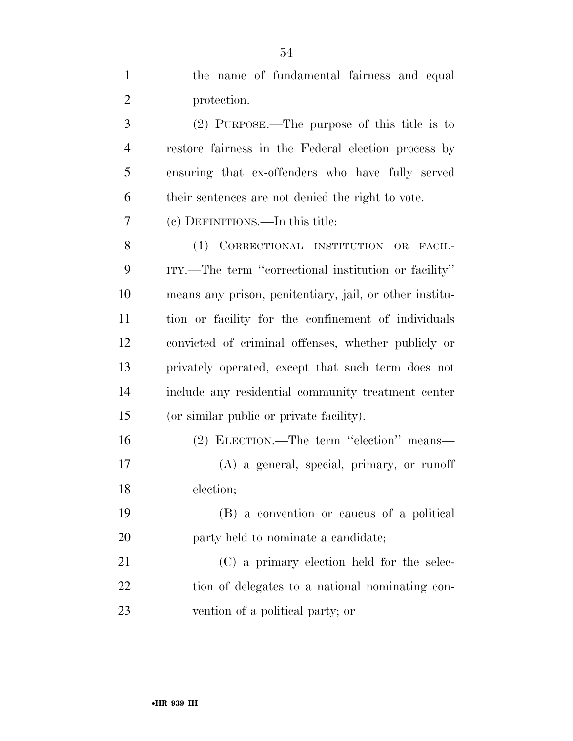| $\mathbf{1}$   | the name of fundamental fairness and equal              |
|----------------|---------------------------------------------------------|
| $\overline{2}$ | protection.                                             |
| 3              | $(2)$ PURPOSE.—The purpose of this title is to          |
| $\overline{4}$ | restore fairness in the Federal election process by     |
| 5              | ensuring that ex-offenders who have fully served        |
| 6              | their sentences are not denied the right to vote.       |
| 7              | (c) DEFINITIONS.—In this title:                         |
| 8              | (1) CORRECTIONAL INSTITUTION OR FACIL-                  |
| 9              | ITY.—The term "correctional institution or facility"    |
| 10             | means any prison, penitentiary, jail, or other institu- |
| 11             | tion or facility for the confinement of individuals     |
| 12             | convicted of criminal offenses, whether publicly or     |
| 13             | privately operated, except that such term does not      |
| 14             | include any residential community treatment center      |
| 15             | (or similar public or private facility).                |
| 16             | (2) ELECTION.—The term "election" means—                |
| 17             | (A) a general, special, primary, or runoff              |
| 18             | election;                                               |
| 19             | (B) a convention or caucus of a political               |
| <b>20</b>      | party held to nominate a candidate;                     |
| 21             | (C) a primary election held for the selec-              |
| 22             | tion of delegates to a national nominating con-         |
| 23             | vention of a political party; or                        |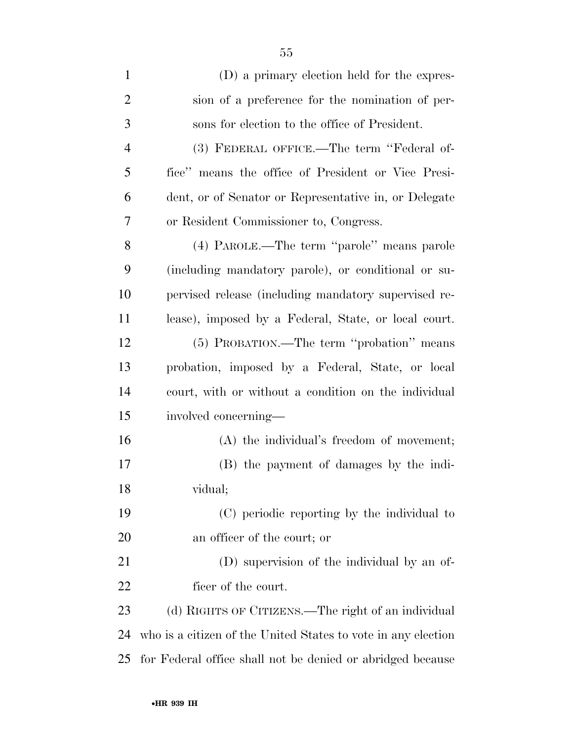| $\mathbf{1}$   | (D) a primary election held for the expres-                   |
|----------------|---------------------------------------------------------------|
| $\overline{2}$ | sion of a preference for the nomination of per-               |
| 3              | sons for election to the office of President.                 |
| $\overline{4}$ | (3) FEDERAL OFFICE.—The term "Federal of-                     |
| 5              | fice" means the office of President or Vice Presi-            |
| 6              | dent, or of Senator or Representative in, or Delegate         |
| 7              | or Resident Commissioner to, Congress.                        |
| 8              | (4) PAROLE.—The term "parole" means parole                    |
| 9              | (including mandatory parole), or conditional or su-           |
| 10             | pervised release (including mandatory supervised re-          |
| 11             | lease), imposed by a Federal, State, or local court.          |
| 12             | (5) PROBATION.—The term "probation" means                     |
| 13             | probation, imposed by a Federal, State, or local              |
| 14             | court, with or without a condition on the individual          |
| 15             | involved concerning—                                          |
| 16             | $(A)$ the individual's freedom of movement;                   |
| 17             | (B) the payment of damages by the indi-                       |
| 18             | vidual;                                                       |
| 19             | (C) periodic reporting by the individual to                   |
| 20             | an officer of the court; or                                   |
| 21             | (D) supervision of the individual by an of-                   |
| 22             | ficer of the court.                                           |
| 23             | (d) RIGHTS OF CITIZENS.—The right of an individual            |
| 24             | who is a citizen of the United States to vote in any election |
| 25             | for Federal office shall not be denied or abridged because    |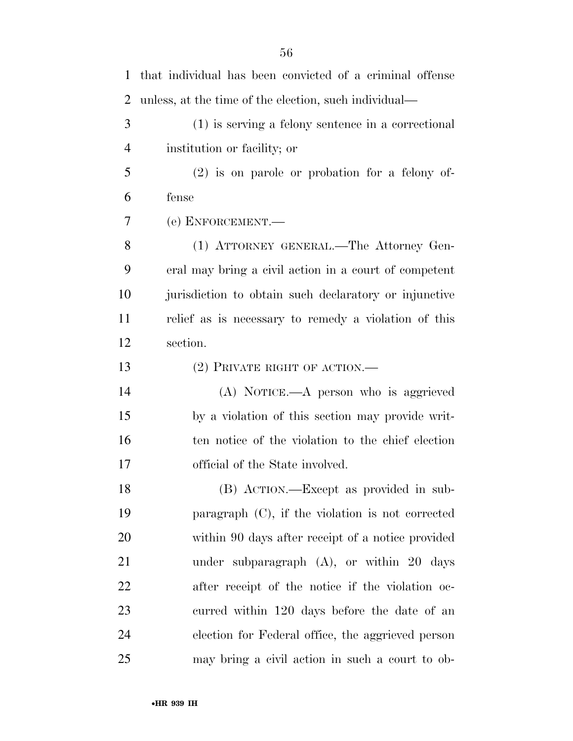| 1              | that individual has been convicted of a criminal offense |
|----------------|----------------------------------------------------------|
| $\overline{2}$ | unless, at the time of the election, such individual—    |
| 3              | $(1)$ is serving a felony sentence in a correctional     |
| $\overline{4}$ | institution or facility; or                              |
| 5              | $(2)$ is on parole or probation for a felony of-         |
| 6              | fense                                                    |
| 7              | (e) ENFORCEMENT.                                         |
| 8              | (1) ATTORNEY GENERAL.—The Attorney Gen-                  |
| 9              | eral may bring a civil action in a court of competent    |
| 10             | jurisdiction to obtain such declaratory or injunctive    |
| 11             | relief as is necessary to remedy a violation of this     |
| 12             | section.                                                 |
| 13             | $(2)$ PRIVATE RIGHT OF ACTION.—                          |
| 14             | (A) NOTICE.—A person who is aggrieved                    |
| 15             | by a violation of this section may provide writ-         |
| 16             | ten notice of the violation to the chief election        |
| 17             | official of the State involved.                          |
| 18             | (B) ACTION.—Except as provided in sub-                   |
| 19             | paragraph $(C)$ , if the violation is not corrected      |
| 20             | within 90 days after receipt of a notice provided        |
| 21             | under subparagraph $(A)$ , or within 20 days             |
| 22             | after receipt of the notice if the violation oc-         |
| 23             | curred within 120 days before the date of an             |
| 24             | election for Federal office, the aggrieved person        |
| 25             | may bring a civil action in such a court to ob-          |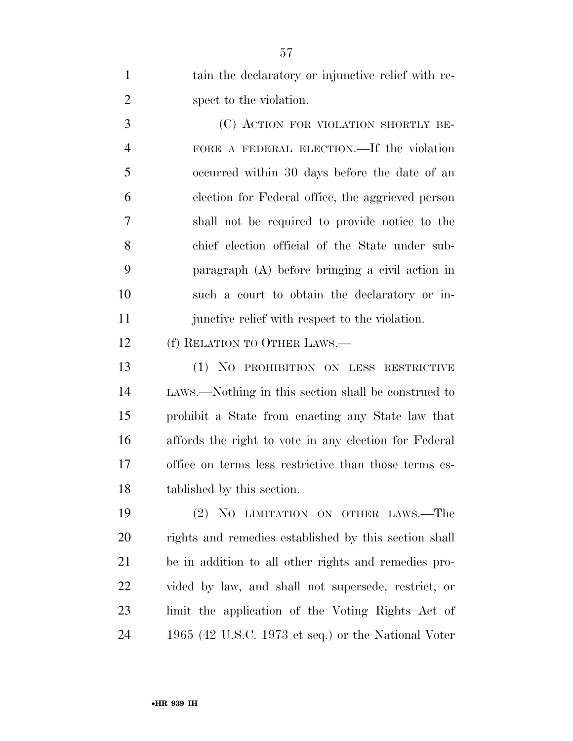tain the declaratory or injunctive relief with re-spect to the violation.

 (C) ACTION FOR VIOLATION SHORTLY BE- FORE A FEDERAL ELECTION.—If the violation occurred within 30 days before the date of an election for Federal office, the aggrieved person shall not be required to provide notice to the chief election official of the State under sub- paragraph (A) before bringing a civil action in such a court to obtain the declaratory or in-11 junctive relief with respect to the violation.

(f) RELATION TO OTHER LAWS.—

 (1) NO PROHIBITION ON LESS RESTRICTIVE LAWS.—Nothing in this section shall be construed to prohibit a State from enacting any State law that affords the right to vote in any election for Federal office on terms less restrictive than those terms es-tablished by this section.

 (2) NO LIMITATION ON OTHER LAWS.—The rights and remedies established by this section shall be in addition to all other rights and remedies pro- vided by law, and shall not supersede, restrict, or limit the application of the Voting Rights Act of 1965 (42 U.S.C. 1973 et seq.) or the National Voter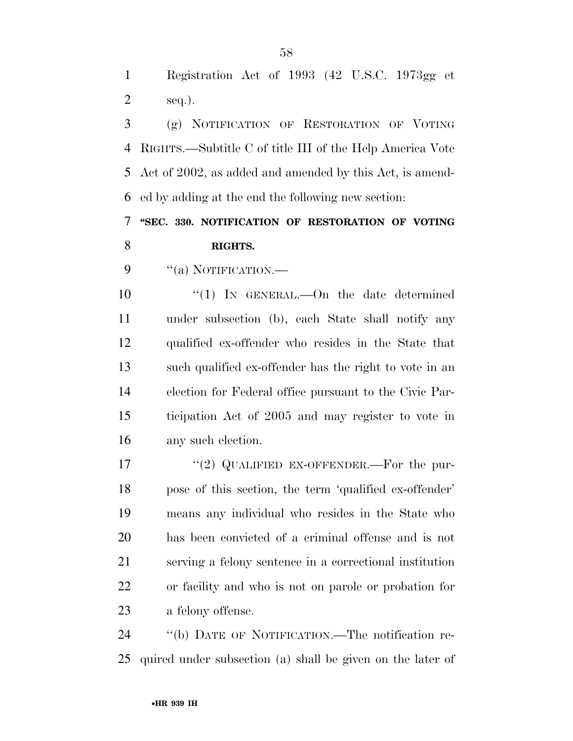Registration Act of 1993 (42 U.S.C. 1973gg et seq.).

 (g) NOTIFICATION OF RESTORATION OF VOTING RIGHTS.—Subtitle C of title III of the Help America Vote Act of 2002, as added and amended by this Act, is amend-ed by adding at the end the following new section:

 **''SEC. 330. NOTIFICATION OF RESTORATION OF VOTING RIGHTS.** 

9 "(a) NOTIFICATION.—

10 "(1) In GENERAL.—On the date determined under subsection (b), each State shall notify any qualified ex-offender who resides in the State that such qualified ex-offender has the right to vote in an election for Federal office pursuant to the Civic Par- ticipation Act of 2005 and may register to vote in any such election.

17 "(2) QUALIFIED EX-OFFENDER.—For the pur- pose of this section, the term 'qualified ex-offender' means any individual who resides in the State who has been convicted of a criminal offense and is not serving a felony sentence in a correctional institution or facility and who is not on parole or probation for a felony offense.

 ''(b) DATE OF NOTIFICATION.—The notification re-quired under subsection (a) shall be given on the later of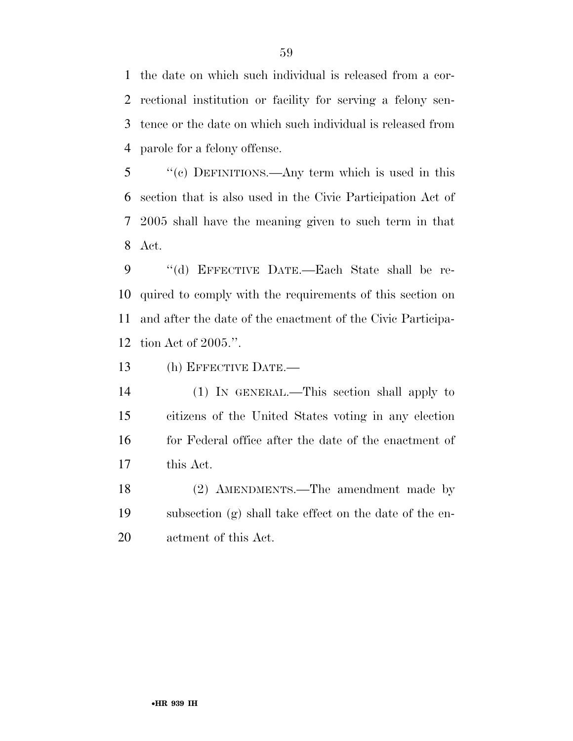the date on which such individual is released from a cor- rectional institution or facility for serving a felony sen- tence or the date on which such individual is released from parole for a felony offense.

 ''(c) DEFINITIONS.—Any term which is used in this section that is also used in the Civic Participation Act of 2005 shall have the meaning given to such term in that Act.

 ''(d) EFFECTIVE DATE.—Each State shall be re- quired to comply with the requirements of this section on and after the date of the enactment of the Civic Participa-tion Act of 2005.''.

(h) EFFECTIVE DATE.—

 (1) IN GENERAL.—This section shall apply to citizens of the United States voting in any election 16 for Federal office after the date of the enactment of this Act.

 (2) AMENDMENTS.—The amendment made by subsection (g) shall take effect on the date of the en-actment of this Act.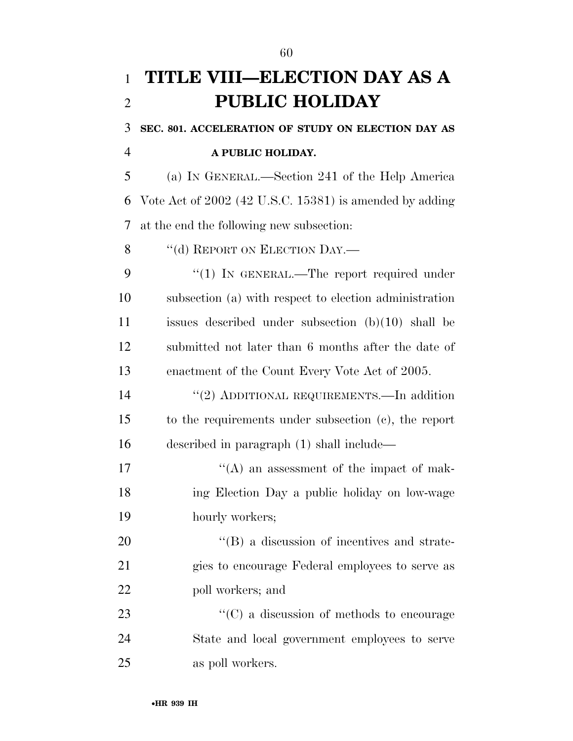# **TITLE VIII—ELECTION DAY AS A PUBLIC HOLIDAY SEC. 801. ACCELERATION OF STUDY ON ELECTION DAY AS A PUBLIC HOLIDAY.**  (a) IN GENERAL.—Section 241 of the Help America Vote Act of 2002 (42 U.S.C. 15381) is amended by adding at the end the following new subsection: 8 "(d) REPORT ON ELECTION DAY.— 9 "(1) IN GENERAL.—The report required under subsection (a) with respect to election administration issues described under subsection (b)(10) shall be submitted not later than 6 months after the date of enactment of the Count Every Vote Act of 2005. 14 "(2) ADDITIONAL REQUIREMENTS.—In addition to the requirements under subsection (c), the report described in paragraph (1) shall include— 17 ''(A) an assessment of the impact of mak- ing Election Day a public holiday on low-wage hourly workers; 20  $"$ (B) a discussion of incentives and strate- gies to encourage Federal employees to serve as 22 poll workers; and ''(C) a discussion of methods to encourage State and local government employees to serve as poll workers.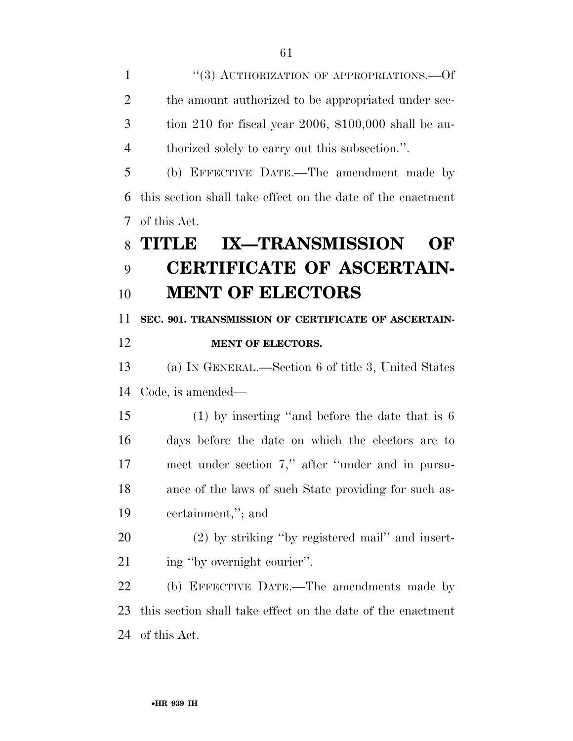1 "(3) AUTHORIZATION OF APPROPRIATIONS.—Of 2 the amount authorized to be appropriated under sec- tion 210 for fiscal year 2006, \$100,000 shall be au- thorized solely to carry out this subsection.''. (b) EFFECTIVE DATE.—The amendment made by this section shall take effect on the date of the enactment of this Act. **TITLE IX—TRANSMISSION OF CERTIFICATE OF ASCERTAIN- MENT OF ELECTORS SEC. 901. TRANSMISSION OF CERTIFICATE OF ASCERTAIN- MENT OF ELECTORS.**  (a) IN GENERAL.—Section 6 of title 3, United States Code, is amended— (1) by inserting ''and before the date that is 6 days before the date on which the electors are to meet under section 7,'' after ''under and in pursu- ance of the laws of such State providing for such as- certainment,''; and (2) by striking ''by registered mail'' and insert-21 ing "by overnight courier". (b) EFFECTIVE DATE.—The amendments made by this section shall take effect on the date of the enactment of this Act.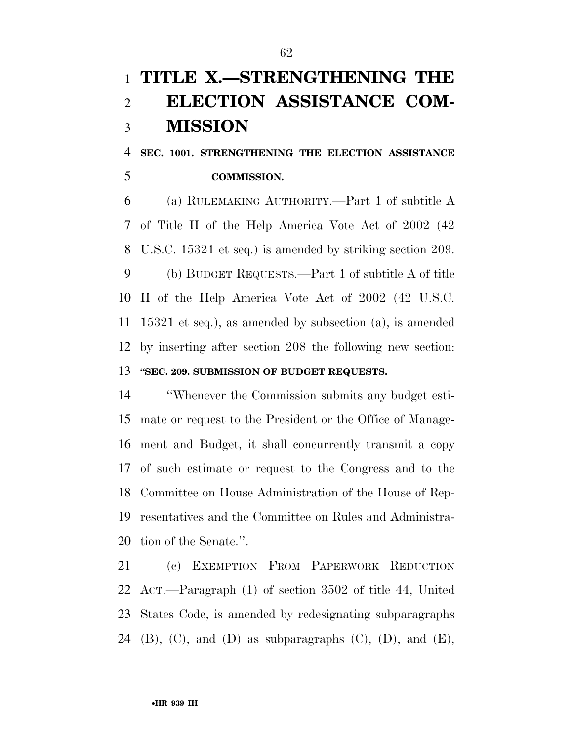# **TITLE X.—STRENGTHENING THE ELECTION ASSISTANCE COM-MISSION**

## **SEC. 1001. STRENGTHENING THE ELECTION ASSISTANCE COMMISSION.**

 (a) RULEMAKING AUTHORITY.—Part 1 of subtitle A of Title II of the Help America Vote Act of 2002 (42 U.S.C. 15321 et seq.) is amended by striking section 209. (b) BUDGET REQUESTS.—Part 1 of subtitle A of title II of the Help America Vote Act of 2002 (42 U.S.C. 15321 et seq.), as amended by subsection (a), is amended by inserting after section 208 the following new section: **''SEC. 209. SUBMISSION OF BUDGET REQUESTS.** 

 ''Whenever the Commission submits any budget esti- mate or request to the President or the Office of Manage- ment and Budget, it shall concurrently transmit a copy of such estimate or request to the Congress and to the Committee on House Administration of the House of Rep- resentatives and the Committee on Rules and Administra-tion of the Senate.''.

 (c) EXEMPTION FROM PAPERWORK REDUCTION ACT.—Paragraph (1) of section 3502 of title 44, United States Code, is amended by redesignating subparagraphs 24 (B),  $(C)$ , and  $(D)$  as subparagraphs  $(C)$ ,  $(D)$ , and  $(E)$ ,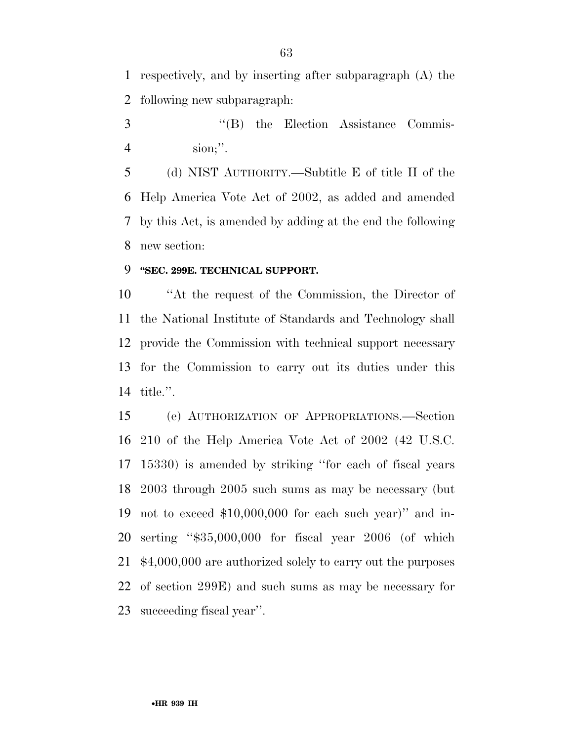respectively, and by inserting after subparagraph (A) the following new subparagraph:

3 ''(B) the Election Assistance Commis-sion;''.

 (d) NIST AUTHORITY.—Subtitle E of title II of the Help America Vote Act of 2002, as added and amended by this Act, is amended by adding at the end the following new section:

### **''SEC. 299E. TECHNICAL SUPPORT.**

 ''At the request of the Commission, the Director of the National Institute of Standards and Technology shall provide the Commission with technical support necessary for the Commission to carry out its duties under this title.''.

 (e) AUTHORIZATION OF APPROPRIATIONS.—Section 210 of the Help America Vote Act of 2002 (42 U.S.C. 15330) is amended by striking ''for each of fiscal years 2003 through 2005 such sums as may be necessary (but not to exceed \$10,000,000 for each such year)'' and in- serting ''\$35,000,000 for fiscal year 2006 (of which \$4,000,000 are authorized solely to carry out the purposes of section 299E) and such sums as may be necessary for succeeding fiscal year''.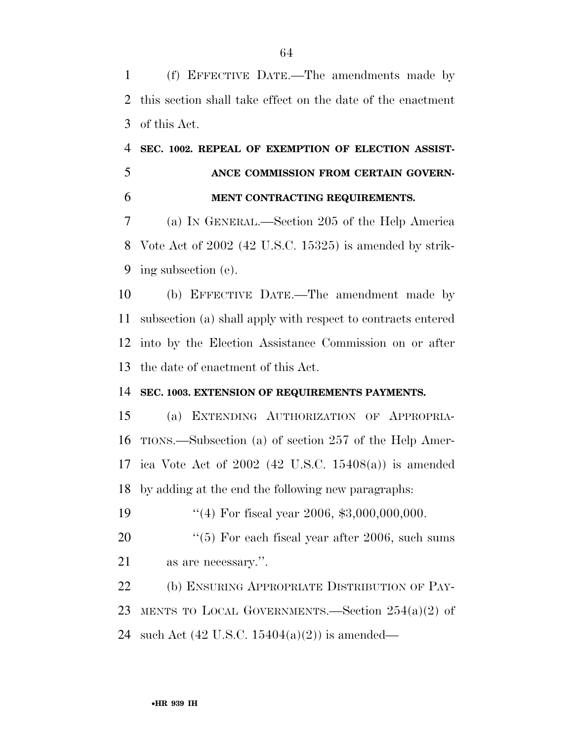(f) EFFECTIVE DATE.—The amendments made by this section shall take effect on the date of the enactment of this Act.

## **SEC. 1002. REPEAL OF EXEMPTION OF ELECTION ASSIST- ANCE COMMISSION FROM CERTAIN GOVERN-MENT CONTRACTING REQUIREMENTS.**

 (a) IN GENERAL.—Section 205 of the Help America Vote Act of 2002 (42 U.S.C. 15325) is amended by strik-ing subsection (e).

 (b) EFFECTIVE DATE.—The amendment made by subsection (a) shall apply with respect to contracts entered into by the Election Assistance Commission on or after the date of enactment of this Act.

### **SEC. 1003. EXTENSION OF REQUIREMENTS PAYMENTS.**

 (a) EXTENDING AUTHORIZATION OF APPROPRIA- TIONS.—Subsection (a) of section 257 of the Help Amer- ica Vote Act of 2002 (42 U.S.C. 15408(a)) is amended by adding at the end the following new paragraphs:

19 ''(4) For fiscal year 2006, \$3,000,000,000.

20  $\frac{4}{5}$  For each fiscal year after 2006, such sums as are necessary.''.

22 (b) ENSURING APPROPRIATE DISTRIBUTION OF PAY- MENTS TO LOCAL GOVERNMENTS.—Section 254(a)(2) of such Act (42 U.S.C. 15404(a)(2)) is amended—